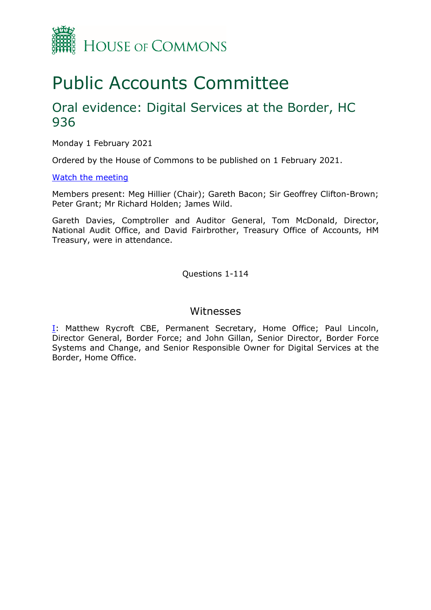

# Public Accounts Committee

# Oral evidence: Digital Services at the Border, HC 936

Monday 1 February 2021

Ordered by the House of Commons to be published on 1 February 2021.

### [Watch the meeting](https://www.parliamentlive.tv/Event/Index/e079aa4a-5391-4cb9-9eb3-5d5c44f2a484)

Members present: Meg Hillier (Chair); Gareth Bacon; Sir Geoffrey Clifton-Brown; Peter Grant; Mr Richard Holden; James Wild.

Gareth Davies, Comptroller and Auditor General, Tom McDonald, Director, National Audit Office, and David Fairbrother, Treasury Office of Accounts, HM Treasury, were in attendance.

Questions 1-114

## Witnesses

[I:](#page-1-0) Matthew Rycroft CBE, Permanent Secretary, Home Office; Paul Lincoln, Director General, Border Force; and John Gillan, Senior Director, Border Force Systems and Change, and Senior Responsible Owner for Digital Services at the Border, Home Office.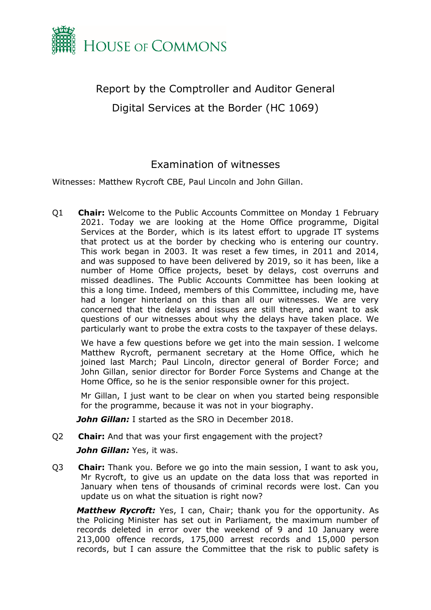

<span id="page-1-0"></span>Report by the Comptroller and Auditor General Digital Services at the Border (HC 1069)

# Examination of witnesses

Witnesses: Matthew Rycroft CBE, Paul Lincoln and John Gillan.

Q1 **Chair:** Welcome to the Public Accounts Committee on Monday 1 February 2021. Today we are looking at the Home Office programme, Digital Services at the Border, which is its latest effort to upgrade IT systems that protect us at the border by checking who is entering our country. This work began in 2003. It was reset a few times, in 2011 and 2014, and was supposed to have been delivered by 2019, so it has been, like a number of Home Office projects, beset by delays, cost overruns and missed deadlines. The Public Accounts Committee has been looking at this a long time. Indeed, members of this Committee, including me, have had a longer hinterland on this than all our witnesses. We are very concerned that the delays and issues are still there, and want to ask questions of our witnesses about why the delays have taken place. We particularly want to probe the extra costs to the taxpayer of these delays.

We have a few questions before we get into the main session. I welcome Matthew Rycroft, permanent secretary at the Home Office, which he joined last March; Paul Lincoln, director general of Border Force; and John Gillan, senior director for Border Force Systems and Change at the Home Office, so he is the senior responsible owner for this project.

Mr Gillan, I just want to be clear on when you started being responsible for the programme, because it was not in your biography.

*John Gillan:* I started as the SRO in December 2018.

Q2 **Chair:** And that was your first engagement with the project?

*John Gillan:* Yes, it was.

Q3 **Chair:** Thank you. Before we go into the main session, I want to ask you, Mr Rycroft, to give us an update on the data loss that was reported in January when tens of thousands of criminal records were lost. Can you update us on what the situation is right now?

*Matthew Rycroft:* Yes, I can, Chair; thank you for the opportunity. As the Policing Minister has set out in Parliament, the maximum number of records deleted in error over the weekend of 9 and 10 January were 213,000 offence records, 175,000 arrest records and 15,000 person records, but I can assure the Committee that the risk to public safety is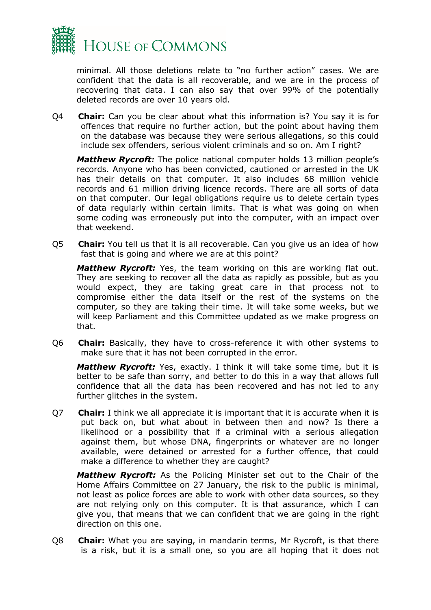

minimal. All those deletions relate to "no further action" cases. We are confident that the data is all recoverable, and we are in the process of recovering that data. I can also say that over 99% of the potentially deleted records are over 10 years old.

Q4 **Chair:** Can you be clear about what this information is? You say it is for offences that require no further action, but the point about having them on the database was because they were serious allegations, so this could include sex offenders, serious violent criminals and so on. Am I right?

*Matthew Rycroft:* The police national computer holds 13 million people's records. Anyone who has been convicted, cautioned or arrested in the UK has their details on that computer. It also includes 68 million vehicle records and 61 million driving licence records. There are all sorts of data on that computer. Our legal obligations require us to delete certain types of data regularly within certain limits. That is what was going on when some coding was erroneously put into the computer, with an impact over that weekend.

Q5 **Chair:** You tell us that it is all recoverable. Can you give us an idea of how fast that is going and where we are at this point?

*Matthew Rycroft:* Yes, the team working on this are working flat out. They are seeking to recover all the data as rapidly as possible, but as you would expect, they are taking great care in that process not to compromise either the data itself or the rest of the systems on the computer, so they are taking their time. It will take some weeks, but we will keep Parliament and this Committee updated as we make progress on that.

Q6 **Chair:** Basically, they have to cross-reference it with other systems to make sure that it has not been corrupted in the error.

*Matthew Rycroft:* Yes, exactly. I think it will take some time, but it is better to be safe than sorry, and better to do this in a way that allows full confidence that all the data has been recovered and has not led to any further glitches in the system.

Q7 **Chair:** I think we all appreciate it is important that it is accurate when it is put back on, but what about in between then and now? Is there a likelihood or a possibility that if a criminal with a serious allegation against them, but whose DNA, fingerprints or whatever are no longer available, were detained or arrested for a further offence, that could make a difference to whether they are caught?

*Matthew Rycroft:* As the Policing Minister set out to the Chair of the Home Affairs Committee on 27 January, the risk to the public is minimal, not least as police forces are able to work with other data sources, so they are not relying only on this computer. It is that assurance, which I can give you, that means that we can confident that we are going in the right direction on this one.

Q8 **Chair:** What you are saying, in mandarin terms, Mr Rycroft, is that there is a risk, but it is a small one, so you are all hoping that it does not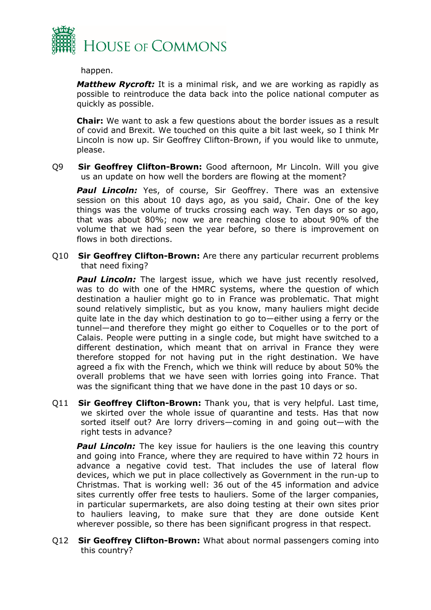

happen.

*Matthew Rycroft:* It is a minimal risk, and we are working as rapidly as possible to reintroduce the data back into the police national computer as quickly as possible.

**Chair:** We want to ask a few questions about the border issues as a result of covid and Brexit. We touched on this quite a bit last week, so I think Mr Lincoln is now up. Sir Geoffrey Clifton-Brown, if you would like to unmute, please.

Q9 **Sir Geoffrey Clifton-Brown:** Good afternoon, Mr Lincoln. Will you give us an update on how well the borders are flowing at the moment?

**Paul Lincoln:** Yes, of course, Sir Geoffrey. There was an extensive session on this about 10 days ago, as you said, Chair. One of the key things was the volume of trucks crossing each way. Ten days or so ago, that was about 80%; now we are reaching close to about 90% of the volume that we had seen the year before, so there is improvement on flows in both directions.

Q10 **Sir Geoffrey Clifton-Brown:** Are there any particular recurrent problems that need fixing?

**Paul Lincoln:** The largest issue, which we have just recently resolved, was to do with one of the HMRC systems, where the question of which destination a haulier might go to in France was problematic. That might sound relatively simplistic, but as you know, many hauliers might decide quite late in the day which destination to go to—either using a ferry or the tunnel—and therefore they might go either to Coquelles or to the port of Calais. People were putting in a single code, but might have switched to a different destination, which meant that on arrival in France they were therefore stopped for not having put in the right destination. We have agreed a fix with the French, which we think will reduce by about 50% the overall problems that we have seen with lorries going into France. That was the significant thing that we have done in the past 10 days or so.

Q11 **Sir Geoffrey Clifton-Brown:** Thank you, that is very helpful. Last time, we skirted over the whole issue of quarantine and tests. Has that now sorted itself out? Are lorry drivers—coming in and going out—with the right tests in advance?

**Paul Lincoln:** The key issue for hauliers is the one leaving this country and going into France, where they are required to have within 72 hours in advance a negative covid test. That includes the use of lateral flow devices, which we put in place collectively as Government in the run-up to Christmas. That is working well: 36 out of the 45 information and advice sites currently offer free tests to hauliers. Some of the larger companies, in particular supermarkets, are also doing testing at their own sites prior to hauliers leaving, to make sure that they are done outside Kent wherever possible, so there has been significant progress in that respect.

Q12 **Sir Geoffrey Clifton-Brown:** What about normal passengers coming into this country?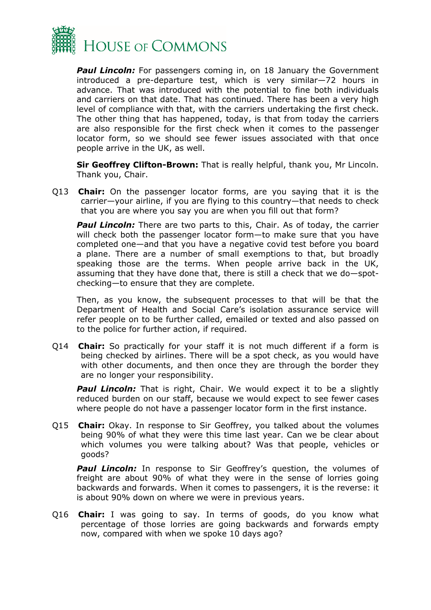

**Paul Lincoln:** For passengers coming in, on 18 January the Government introduced a pre-departure test, which is very similar—72 hours in advance. That was introduced with the potential to fine both individuals and carriers on that date. That has continued. There has been a very high level of compliance with that, with the carriers undertaking the first check. The other thing that has happened, today, is that from today the carriers are also responsible for the first check when it comes to the passenger locator form, so we should see fewer issues associated with that once people arrive in the UK, as well.

**Sir Geoffrey Clifton-Brown:** That is really helpful, thank you, Mr Lincoln. Thank you, Chair.

Q13 **Chair:** On the passenger locator forms, are you saying that it is the carrier—your airline, if you are flying to this country—that needs to check that you are where you say you are when you fill out that form?

**Paul Lincoln:** There are two parts to this, Chair. As of today, the carrier will check both the passenger locator form—to make sure that you have completed one—and that you have a negative covid test before you board a plane. There are a number of small exemptions to that, but broadly speaking those are the terms. When people arrive back in the UK, assuming that they have done that, there is still a check that we do—spotchecking—to ensure that they are complete.

Then, as you know, the subsequent processes to that will be that the Department of Health and Social Care's isolation assurance service will refer people on to be further called, emailed or texted and also passed on to the police for further action, if required.

Q14 **Chair:** So practically for your staff it is not much different if a form is being checked by airlines. There will be a spot check, as you would have with other documents, and then once they are through the border they are no longer your responsibility.

**Paul Lincoln:** That is right, Chair. We would expect it to be a slightly reduced burden on our staff, because we would expect to see fewer cases where people do not have a passenger locator form in the first instance.

Q15 **Chair:** Okay. In response to Sir Geoffrey, you talked about the volumes being 90% of what they were this time last year. Can we be clear about which volumes you were talking about? Was that people, vehicles or goods?

**Paul Lincoln:** In response to Sir Geoffrey's question, the volumes of freight are about 90% of what they were in the sense of lorries going backwards and forwards. When it comes to passengers, it is the reverse: it is about 90% down on where we were in previous years.

Q16 **Chair:** I was going to say. In terms of goods, do you know what percentage of those lorries are going backwards and forwards empty now, compared with when we spoke 10 days ago?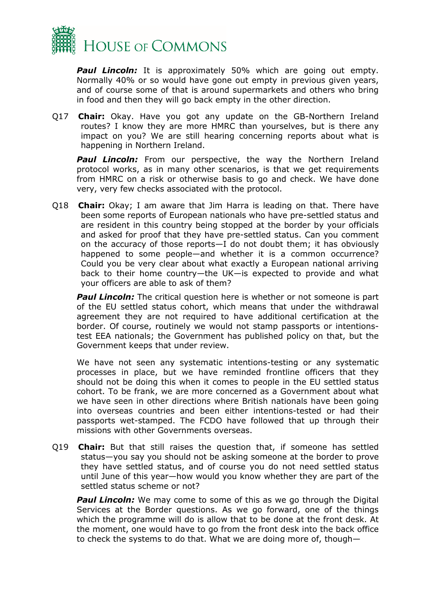

**Paul Lincoln:** It is approximately 50% which are going out empty. Normally 40% or so would have gone out empty in previous given years, and of course some of that is around supermarkets and others who bring in food and then they will go back empty in the other direction.

Q17 **Chair:** Okay. Have you got any update on the GB-Northern Ireland routes? I know they are more HMRC than yourselves, but is there any impact on you? We are still hearing concerning reports about what is happening in Northern Ireland.

**Paul Lincoln:** From our perspective, the way the Northern Ireland protocol works, as in many other scenarios, is that we get requirements from HMRC on a risk or otherwise basis to go and check. We have done very, very few checks associated with the protocol.

Q18 **Chair:** Okay; I am aware that Jim Harra is leading on that. There have been some reports of European nationals who have pre-settled status and are resident in this country being stopped at the border by your officials and asked for proof that they have pre-settled status. Can you comment on the accuracy of those reports—I do not doubt them; it has obviously happened to some people—and whether it is a common occurrence? Could you be very clear about what exactly a European national arriving back to their home country—the UK—is expected to provide and what your officers are able to ask of them?

**Paul Lincoln:** The critical question here is whether or not someone is part of the EU settled status cohort, which means that under the withdrawal agreement they are not required to have additional certification at the border. Of course, routinely we would not stamp passports or intentionstest EEA nationals; the Government has published policy on that, but the Government keeps that under review.

We have not seen any systematic intentions-testing or any systematic processes in place, but we have reminded frontline officers that they should not be doing this when it comes to people in the EU settled status cohort. To be frank, we are more concerned as a Government about what we have seen in other directions where British nationals have been going into overseas countries and been either intentions-tested or had their passports wet-stamped. The FCDO have followed that up through their missions with other Governments overseas.

Q19 **Chair:** But that still raises the question that, if someone has settled status—you say you should not be asking someone at the border to prove they have settled status, and of course you do not need settled status until June of this year—how would you know whether they are part of the settled status scheme or not?

**Paul Lincoln:** We may come to some of this as we go through the Digital Services at the Border questions. As we go forward, one of the things which the programme will do is allow that to be done at the front desk. At the moment, one would have to go from the front desk into the back office to check the systems to do that. What we are doing more of, though—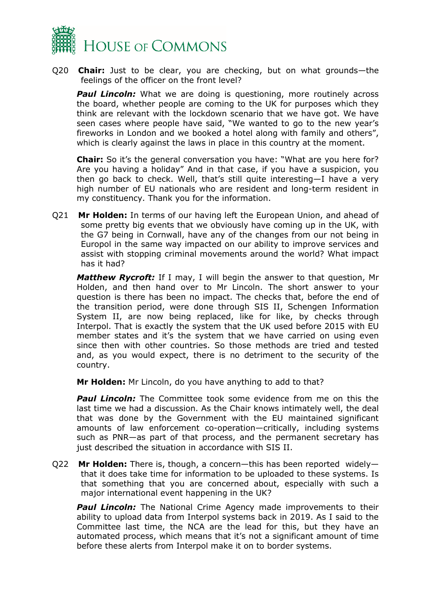

Q20 **Chair:** Just to be clear, you are checking, but on what grounds—the feelings of the officer on the front level?

**Paul Lincoln:** What we are doing is questioning, more routinely across the board, whether people are coming to the UK for purposes which they think are relevant with the lockdown scenario that we have got. We have seen cases where people have said, "We wanted to go to the new year's fireworks in London and we booked a hotel along with family and others", which is clearly against the laws in place in this country at the moment.

**Chair:** So it's the general conversation you have: "What are you here for? Are you having a holiday" And in that case, if you have a suspicion, you then go back to check. Well, that's still quite interesting—I have a very high number of EU nationals who are resident and long-term resident in my constituency. Thank you for the information.

Q21 **Mr Holden:** In terms of our having left the European Union, and ahead of some pretty big events that we obviously have coming up in the UK, with the G7 being in Cornwall, have any of the changes from our not being in Europol in the same way impacted on our ability to improve services and assist with stopping criminal movements around the world? What impact has it had?

*Matthew Rycroft:* If I may, I will begin the answer to that question, Mr Holden, and then hand over to Mr Lincoln. The short answer to your question is there has been no impact. The checks that, before the end of the transition period, were done through SIS II, Schengen Information System II, are now being replaced, like for like, by checks through Interpol. That is exactly the system that the UK used before 2015 with EU member states and it's the system that we have carried on using even since then with other countries. So those methods are tried and tested and, as you would expect, there is no detriment to the security of the country.

**Mr Holden:** Mr Lincoln, do you have anything to add to that?

*Paul Lincoln:* The Committee took some evidence from me on this the last time we had a discussion. As the Chair knows intimately well, the deal that was done by the Government with the EU maintained significant amounts of law enforcement co-operation—critically, including systems such as PNR—as part of that process, and the permanent secretary has just described the situation in accordance with SIS II.

Q22 **Mr Holden:** There is, though, a concern—this has been reported widely that it does take time for information to be uploaded to these systems. Is that something that you are concerned about, especially with such a major international event happening in the UK?

**Paul Lincoln:** The National Crime Agency made improvements to their ability to upload data from Interpol systems back in 2019. As I said to the Committee last time, the NCA are the lead for this, but they have an automated process, which means that it's not a significant amount of time before these alerts from Interpol make it on to border systems.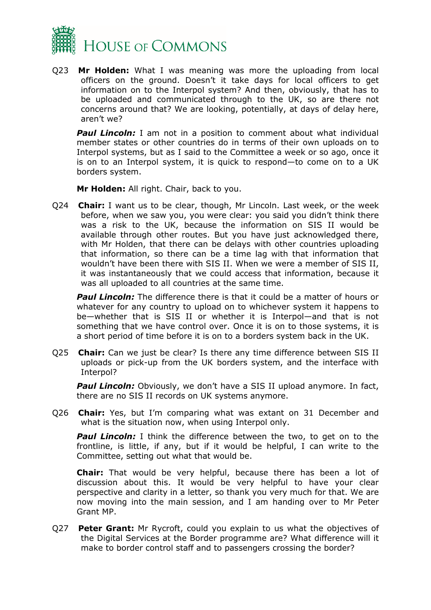

Q23 **Mr Holden:** What I was meaning was more the uploading from local officers on the ground. Doesn't it take days for local officers to get information on to the Interpol system? And then, obviously, that has to be uploaded and communicated through to the UK, so are there not concerns around that? We are looking, potentially, at days of delay here, aren't we?

**Paul Lincoln:** I am not in a position to comment about what individual member states or other countries do in terms of their own uploads on to Interpol systems, but as I said to the Committee a week or so ago, once it is on to an Interpol system, it is quick to respond—to come on to a UK borders system.

**Mr Holden:** All right. Chair, back to you.

Q24 **Chair:** I want us to be clear, though, Mr Lincoln. Last week, or the week before, when we saw you, you were clear: you said you didn't think there was a risk to the UK, because the information on SIS II would be available through other routes. But you have just acknowledged there, with Mr Holden, that there can be delays with other countries uploading that information, so there can be a time lag with that information that wouldn't have been there with SIS II. When we were a member of SIS II, it was instantaneously that we could access that information, because it was all uploaded to all countries at the same time.

**Paul Lincoln:** The difference there is that it could be a matter of hours or whatever for any country to upload on to whichever system it happens to be—whether that is SIS II or whether it is Interpol—and that is not something that we have control over. Once it is on to those systems, it is a short period of time before it is on to a borders system back in the UK.

Q25 **Chair:** Can we just be clear? Is there any time difference between SIS II uploads or pick-up from the UK borders system, and the interface with Interpol?

**Paul Lincoln:** Obviously, we don't have a SIS II upload anymore. In fact, there are no SIS II records on UK systems anymore.

Q26 **Chair:** Yes, but I'm comparing what was extant on 31 December and what is the situation now, when using Interpol only.

*Paul Lincoln:* I think the difference between the two, to get on to the frontline, is little, if any, but if it would be helpful, I can write to the Committee, setting out what that would be.

**Chair:** That would be very helpful, because there has been a lot of discussion about this. It would be very helpful to have your clear perspective and clarity in a letter, so thank you very much for that. We are now moving into the main session, and I am handing over to Mr Peter Grant MP.

Q27 **Peter Grant:** Mr Rycroft, could you explain to us what the objectives of the Digital Services at the Border programme are? What difference will it make to border control staff and to passengers crossing the border?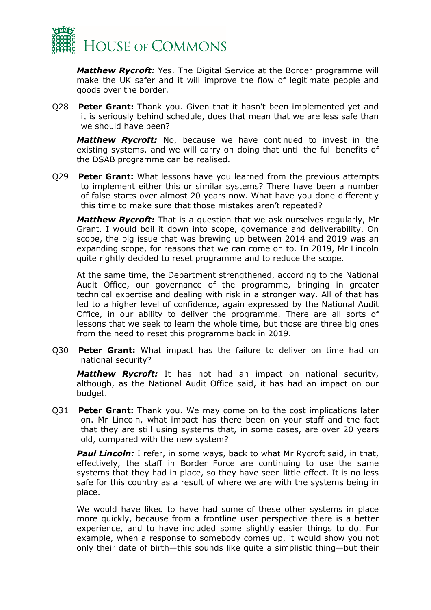

*Matthew Rycroft:* Yes. The Digital Service at the Border programme will make the UK safer and it will improve the flow of legitimate people and goods over the border.

Q28 **Peter Grant:** Thank you. Given that it hasn't been implemented yet and it is seriously behind schedule, does that mean that we are less safe than we should have been?

*Matthew Rycroft:* No, because we have continued to invest in the existing systems, and we will carry on doing that until the full benefits of the DSAB programme can be realised.

Q29 **Peter Grant:** What lessons have you learned from the previous attempts to implement either this or similar systems? There have been a number of false starts over almost 20 years now. What have you done differently this time to make sure that those mistakes aren't repeated?

*Matthew Rycroft:* That is a question that we ask ourselves regularly, Mr Grant. I would boil it down into scope, governance and deliverability. On scope, the big issue that was brewing up between 2014 and 2019 was an expanding scope, for reasons that we can come on to. In 2019, Mr Lincoln quite rightly decided to reset programme and to reduce the scope.

At the same time, the Department strengthened, according to the National Audit Office, our governance of the programme, bringing in greater technical expertise and dealing with risk in a stronger way. All of that has led to a higher level of confidence, again expressed by the National Audit Office, in our ability to deliver the programme. There are all sorts of lessons that we seek to learn the whole time, but those are three big ones from the need to reset this programme back in 2019.

Q30 **Peter Grant:** What impact has the failure to deliver on time had on national security?

*Matthew Rycroft:* It has not had an impact on national security, although, as the National Audit Office said, it has had an impact on our budget.

Q31 **Peter Grant:** Thank you. We may come on to the cost implications later on. Mr Lincoln, what impact has there been on your staff and the fact that they are still using systems that, in some cases, are over 20 years old, compared with the new system?

**Paul Lincoln:** I refer, in some ways, back to what Mr Rycroft said, in that, effectively, the staff in Border Force are continuing to use the same systems that they had in place, so they have seen little effect. It is no less safe for this country as a result of where we are with the systems being in place.

We would have liked to have had some of these other systems in place more quickly, because from a frontline user perspective there is a better experience, and to have included some slightly easier things to do. For example, when a response to somebody comes up, it would show you not only their date of birth—this sounds like quite a simplistic thing—but their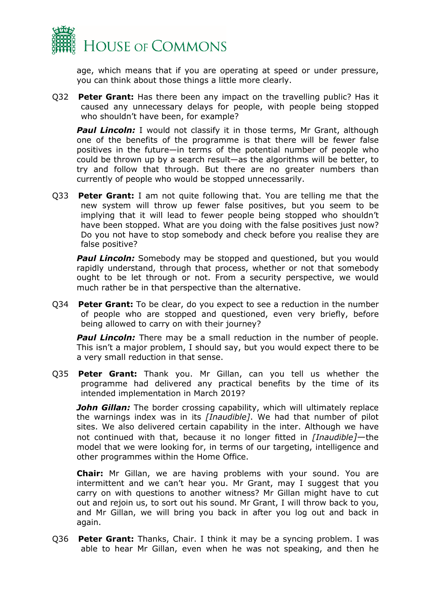

age, which means that if you are operating at speed or under pressure, you can think about those things a little more clearly.

Q32 **Peter Grant:** Has there been any impact on the travelling public? Has it caused any unnecessary delays for people, with people being stopped who shouldn't have been, for example?

**Paul Lincoln:** I would not classify it in those terms, Mr Grant, although one of the benefits of the programme is that there will be fewer false positives in the future—in terms of the potential number of people who could be thrown up by a search result—as the algorithms will be better, to try and follow that through. But there are no greater numbers than currently of people who would be stopped unnecessarily.

Q33 **Peter Grant:** I am not quite following that. You are telling me that the new system will throw up fewer false positives, but you seem to be implying that it will lead to fewer people being stopped who shouldn't have been stopped. What are you doing with the false positives just now? Do you not have to stop somebody and check before you realise they are false positive?

**Paul Lincoln:** Somebody may be stopped and questioned, but you would rapidly understand, through that process, whether or not that somebody ought to be let through or not. From a security perspective, we would much rather be in that perspective than the alternative.

Q34 **Peter Grant:** To be clear, do you expect to see a reduction in the number of people who are stopped and questioned, even very briefly, before being allowed to carry on with their journey?

**Paul Lincoln:** There may be a small reduction in the number of people. This isn't a major problem, I should say, but you would expect there to be a very small reduction in that sense.

Q35 **Peter Grant:** Thank you. Mr Gillan, can you tell us whether the programme had delivered any practical benefits by the time of its intended implementation in March 2019?

**John Gillan:** The border crossing capability, which will ultimately replace the warnings index was in its *[Inaudible]*. We had that number of pilot sites. We also delivered certain capability in the inter. Although we have not continued with that, because it no longer fitted in *[Inaudible]*—the model that we were looking for, in terms of our targeting, intelligence and other programmes within the Home Office.

**Chair:** Mr Gillan, we are having problems with your sound. You are intermittent and we can't hear you. Mr Grant, may I suggest that you carry on with questions to another witness? Mr Gillan might have to cut out and rejoin us, to sort out his sound. Mr Grant, I will throw back to you, and Mr Gillan, we will bring you back in after you log out and back in again.

Q36 **Peter Grant:** Thanks, Chair. I think it may be a syncing problem. I was able to hear Mr Gillan, even when he was not speaking, and then he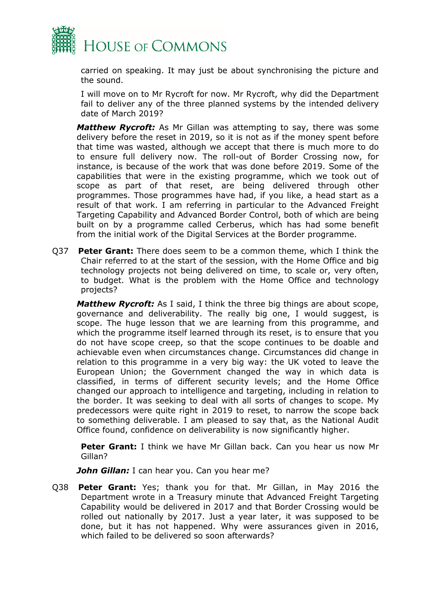

carried on speaking. It may just be about synchronising the picture and the sound.

I will move on to Mr Rycroft for now. Mr Rycroft, why did the Department fail to deliver any of the three planned systems by the intended delivery date of March 2019?

*Matthew Rycroft:* As Mr Gillan was attempting to say, there was some delivery before the reset in 2019, so it is not as if the money spent before that time was wasted, although we accept that there is much more to do to ensure full delivery now. The roll-out of Border Crossing now, for instance, is because of the work that was done before 2019. Some of the capabilities that were in the existing programme, which we took out of scope as part of that reset, are being delivered through other programmes. Those programmes have had, if you like, a head start as a result of that work. I am referring in particular to the Advanced Freight Targeting Capability and Advanced Border Control, both of which are being built on by a programme called Cerberus, which has had some benefit from the initial work of the Digital Services at the Border programme.

Q37 **Peter Grant:** There does seem to be a common theme, which I think the Chair referred to at the start of the session, with the Home Office and big technology projects not being delivered on time, to scale or, very often, to budget. What is the problem with the Home Office and technology projects?

*Matthew Rycroft:* As I said, I think the three big things are about scope, governance and deliverability. The really big one, I would suggest, is scope. The huge lesson that we are learning from this programme, and which the programme itself learned through its reset, is to ensure that you do not have scope creep, so that the scope continues to be doable and achievable even when circumstances change. Circumstances did change in relation to this programme in a very big way: the UK voted to leave the European Union; the Government changed the way in which data is classified, in terms of different security levels; and the Home Office changed our approach to intelligence and targeting, including in relation to the border. It was seeking to deal with all sorts of changes to scope. My predecessors were quite right in 2019 to reset, to narrow the scope back to something deliverable. I am pleased to say that, as the National Audit Office found, confidence on deliverability is now significantly higher.

**Peter Grant:** I think we have Mr Gillan back. Can you hear us now Mr Gillan?

*John Gillan:* I can hear you. Can you hear me?

Q38 **Peter Grant:** Yes; thank you for that. Mr Gillan, in May 2016 the Department wrote in a Treasury minute that Advanced Freight Targeting Capability would be delivered in 2017 and that Border Crossing would be rolled out nationally by 2017. Just a year later, it was supposed to be done, but it has not happened. Why were assurances given in 2016, which failed to be delivered so soon afterwards?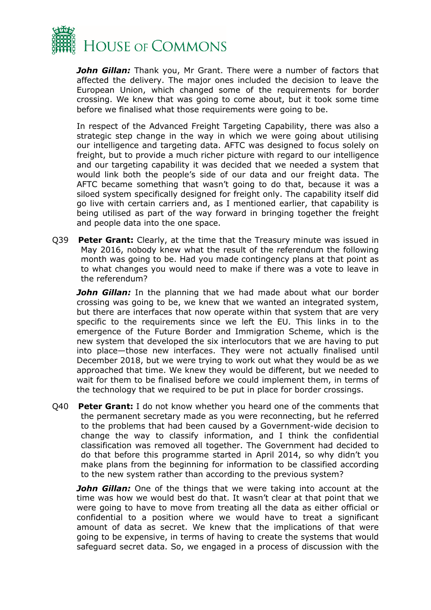

*John Gillan:* Thank you, Mr Grant. There were a number of factors that affected the delivery. The major ones included the decision to leave the European Union, which changed some of the requirements for border crossing. We knew that was going to come about, but it took some time before we finalised what those requirements were going to be.

In respect of the Advanced Freight Targeting Capability, there was also a strategic step change in the way in which we were going about utilising our intelligence and targeting data. AFTC was designed to focus solely on freight, but to provide a much richer picture with regard to our intelligence and our targeting capability it was decided that we needed a system that would link both the people's side of our data and our freight data. The AFTC became something that wasn't going to do that, because it was a siloed system specifically designed for freight only. The capability itself did go live with certain carriers and, as I mentioned earlier, that capability is being utilised as part of the way forward in bringing together the freight and people data into the one space.

Q39 **Peter Grant:** Clearly, at the time that the Treasury minute was issued in May 2016, nobody knew what the result of the referendum the following month was going to be. Had you made contingency plans at that point as to what changes you would need to make if there was a vote to leave in the referendum?

**John Gillan:** In the planning that we had made about what our border crossing was going to be, we knew that we wanted an integrated system, but there are interfaces that now operate within that system that are very specific to the requirements since we left the EU. This links in to the emergence of the Future Border and Immigration Scheme, which is the new system that developed the six interlocutors that we are having to put into place—those new interfaces. They were not actually finalised until December 2018, but we were trying to work out what they would be as we approached that time. We knew they would be different, but we needed to wait for them to be finalised before we could implement them, in terms of the technology that we required to be put in place for border crossings.

Q40 **Peter Grant:** I do not know whether you heard one of the comments that the permanent secretary made as you were reconnecting, but he referred to the problems that had been caused by a Government-wide decision to change the way to classify information, and I think the confidential classification was removed all together. The Government had decided to do that before this programme started in April 2014, so why didn't you make plans from the beginning for information to be classified according to the new system rather than according to the previous system?

*John Gillan:* One of the things that we were taking into account at the time was how we would best do that. It wasn't clear at that point that we were going to have to move from treating all the data as either official or confidential to a position where we would have to treat a significant amount of data as secret. We knew that the implications of that were going to be expensive, in terms of having to create the systems that would safeguard secret data. So, we engaged in a process of discussion with the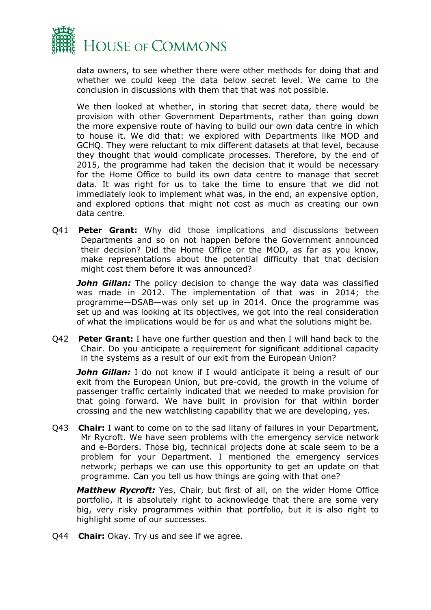

data owners, to see whether there were other methods for doing that and whether we could keep the data below secret level. We came to the conclusion in discussions with them that that was not possible.

We then looked at whether, in storing that secret data, there would be provision with other Government Departments, rather than going down the more expensive route of having to build our own data centre in which to house it. We did that: we explored with Departments like MOD and GCHQ. They were reluctant to mix different datasets at that level, because they thought that would complicate processes. Therefore, by the end of 2015, the programme had taken the decision that it would be necessary for the Home Office to build its own data centre to manage that secret data. It was right for us to take the time to ensure that we did not immediately look to implement what was, in the end, an expensive option, and explored options that might not cost as much as creating our own data centre.

Q41 **Peter Grant:** Why did those implications and discussions between Departments and so on not happen before the Government announced their decision? Did the Home Office or the MOD, as far as you know, make representations about the potential difficulty that that decision might cost them before it was announced?

**John Gillan:** The policy decision to change the way data was classified was made in 2012. The implementation of that was in 2014; the programme—DSAB—was only set up in 2014. Once the programme was set up and was looking at its objectives, we got into the real consideration of what the implications would be for us and what the solutions might be.

Q42 **Peter Grant:** I have one further question and then I will hand back to the Chair. Do you anticipate a requirement for significant additional capacity in the systems as a result of our exit from the European Union?

*John Gillan:* I do not know if I would anticipate it being a result of our exit from the European Union, but pre-covid, the growth in the volume of passenger traffic certainly indicated that we needed to make provision for that going forward. We have built in provision for that within border crossing and the new watchlisting capability that we are developing, yes.

Q43 **Chair:** I want to come on to the sad litany of failures in your Department, Mr Rycroft. We have seen problems with the emergency service network and e-Borders. Those big, technical projects done at scale seem to be a problem for your Department. I mentioned the emergency services network; perhaps we can use this opportunity to get an update on that programme. Can you tell us how things are going with that one?

*Matthew Rycroft:* Yes, Chair, but first of all, on the wider Home Office portfolio, it is absolutely right to acknowledge that there are some very big, very risky programmes within that portfolio, but it is also right to highlight some of our successes.

Q44 **Chair:** Okay. Try us and see if we agree.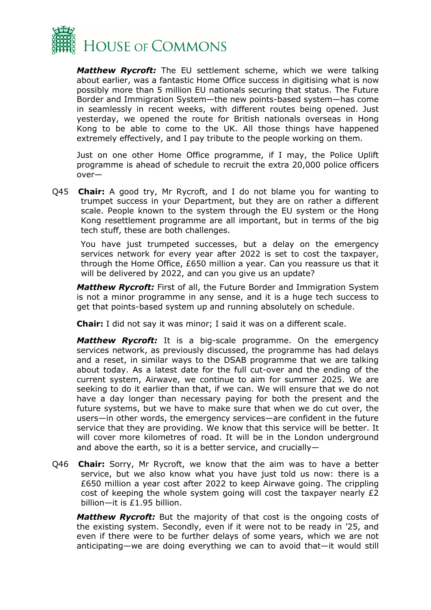

*Matthew Rycroft:* The EU settlement scheme, which we were talking about earlier, was a fantastic Home Office success in digitising what is now possibly more than 5 million EU nationals securing that status. The Future Border and Immigration System—the new points-based system—has come in seamlessly in recent weeks, with different routes being opened. Just yesterday, we opened the route for British nationals overseas in Hong Kong to be able to come to the UK. All those things have happened extremely effectively, and I pay tribute to the people working on them.

Just on one other Home Office programme, if I may, the Police Uplift programme is ahead of schedule to recruit the extra 20,000 police officers over—

Q45 **Chair:** A good try, Mr Rycroft, and I do not blame you for wanting to trumpet success in your Department, but they are on rather a different scale. People known to the system through the EU system or the Hong Kong resettlement programme are all important, but in terms of the big tech stuff, these are both challenges.

You have just trumpeted successes, but a delay on the emergency services network for every year after 2022 is set to cost the taxpayer, through the Home Office, £650 million a year. Can you reassure us that it will be delivered by 2022, and can you give us an update?

*Matthew Rycroft:* First of all, the Future Border and Immigration System is not a minor programme in any sense, and it is a huge tech success to get that points-based system up and running absolutely on schedule.

**Chair:** I did not say it was minor; I said it was on a different scale.

*Matthew Rycroft:* It is a big-scale programme. On the emergency services network, as previously discussed, the programme has had delays and a reset, in similar ways to the DSAB programme that we are talking about today. As a latest date for the full cut-over and the ending of the current system, Airwave, we continue to aim for summer 2025. We are seeking to do it earlier than that, if we can. We will ensure that we do not have a day longer than necessary paying for both the present and the future systems, but we have to make sure that when we do cut over, the users—in other words, the emergency services—are confident in the future service that they are providing. We know that this service will be better. It will cover more kilometres of road. It will be in the London underground and above the earth, so it is a better service, and crucially—

Q46 **Chair:** Sorry, Mr Rycroft, we know that the aim was to have a better service, but we also know what you have just told us now: there is a £650 million a year cost after 2022 to keep Airwave going. The crippling cost of keeping the whole system going will cost the taxpayer nearly £2 billion—it is £1.95 billion.

*Matthew Rycroft:* But the majority of that cost is the ongoing costs of the existing system. Secondly, even if it were not to be ready in '25, and even if there were to be further delays of some years, which we are not anticipating—we are doing everything we can to avoid that—it would still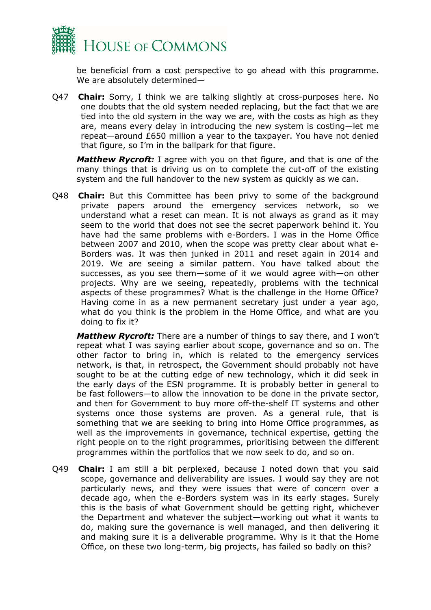

be beneficial from a cost perspective to go ahead with this programme. We are absolutely determined—

Q47 **Chair:** Sorry, I think we are talking slightly at cross-purposes here. No one doubts that the old system needed replacing, but the fact that we are tied into the old system in the way we are, with the costs as high as they are, means every delay in introducing the new system is costing—let me repeat—around £650 million a year to the taxpayer. You have not denied that figure, so I'm in the ballpark for that figure.

*Matthew Rycroft:* I agree with you on that figure, and that is one of the many things that is driving us on to complete the cut-off of the existing system and the full handover to the new system as quickly as we can.

Q48 **Chair:** But this Committee has been privy to some of the background private papers around the emergency services network, so we understand what a reset can mean. It is not always as grand as it may seem to the world that does not see the secret paperwork behind it. You have had the same problems with e-Borders. I was in the Home Office between 2007 and 2010, when the scope was pretty clear about what e-Borders was. It was then junked in 2011 and reset again in 2014 and 2019. We are seeing a similar pattern. You have talked about the successes, as you see them—some of it we would agree with—on other projects. Why are we seeing, repeatedly, problems with the technical aspects of these programmes? What is the challenge in the Home Office? Having come in as a new permanent secretary just under a year ago, what do you think is the problem in the Home Office, and what are you doing to fix it?

*Matthew Rycroft:* There are a number of things to say there, and I won't repeat what I was saying earlier about scope, governance and so on. The other factor to bring in, which is related to the emergency services network, is that, in retrospect, the Government should probably not have sought to be at the cutting edge of new technology, which it did seek in the early days of the ESN programme. It is probably better in general to be fast followers—to allow the innovation to be done in the private sector, and then for Government to buy more off-the-shelf IT systems and other systems once those systems are proven. As a general rule, that is something that we are seeking to bring into Home Office programmes, as well as the improvements in governance, technical expertise, getting the right people on to the right programmes, prioritising between the different programmes within the portfolios that we now seek to do, and so on.

Q49 **Chair:** I am still a bit perplexed, because I noted down that you said scope, governance and deliverability are issues. I would say they are not particularly news, and they were issues that were of concern over a decade ago, when the e-Borders system was in its early stages. Surely this is the basis of what Government should be getting right, whichever the Department and whatever the subject—working out what it wants to do, making sure the governance is well managed, and then delivering it and making sure it is a deliverable programme. Why is it that the Home Office, on these two long-term, big projects, has failed so badly on this?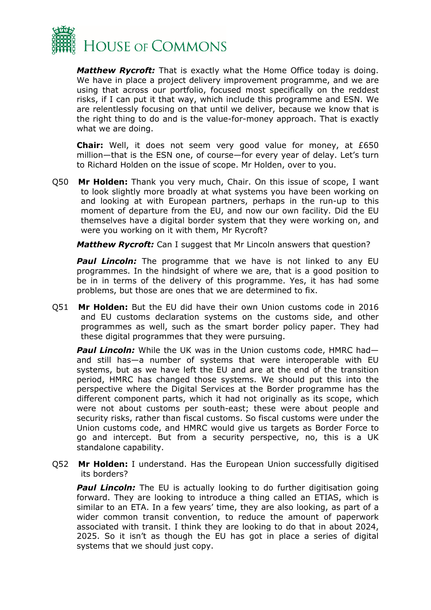

*Matthew Rycroft:* That is exactly what the Home Office today is doing. We have in place a project delivery improvement programme, and we are using that across our portfolio, focused most specifically on the reddest risks, if I can put it that way, which include this programme and ESN. We are relentlessly focusing on that until we deliver, because we know that is the right thing to do and is the value-for-money approach. That is exactly what we are doing.

**Chair:** Well, it does not seem very good value for money, at £650 million—that is the ESN one, of course—for every year of delay. Let's turn to Richard Holden on the issue of scope. Mr Holden, over to you.

Q50 **Mr Holden:** Thank you very much, Chair. On this issue of scope, I want to look slightly more broadly at what systems you have been working on and looking at with European partners, perhaps in the run-up to this moment of departure from the EU, and now our own facility. Did the EU themselves have a digital border system that they were working on, and were you working on it with them, Mr Rycroft?

*Matthew Rycroft:* Can I suggest that Mr Lincoln answers that question?

**Paul Lincoln:** The programme that we have is not linked to any EU programmes. In the hindsight of where we are, that is a good position to be in in terms of the delivery of this programme. Yes, it has had some problems, but those are ones that we are determined to fix.

Q51 **Mr Holden:** But the EU did have their own Union customs code in 2016 and EU customs declaration systems on the customs side, and other programmes as well, such as the smart border policy paper. They had these digital programmes that they were pursuing.

**Paul Lincoln:** While the UK was in the Union customs code, HMRC hadand still has—a number of systems that were interoperable with EU systems, but as we have left the EU and are at the end of the transition period, HMRC has changed those systems. We should put this into the perspective where the Digital Services at the Border programme has the different component parts, which it had not originally as its scope, which were not about customs per south-east; these were about people and security risks, rather than fiscal customs. So fiscal customs were under the Union customs code, and HMRC would give us targets as Border Force to go and intercept. But from a security perspective, no, this is a UK standalone capability.

Q52 **Mr Holden:** I understand. Has the European Union successfully digitised its borders?

**Paul Lincoln:** The EU is actually looking to do further digitisation going forward. They are looking to introduce a thing called an ETIAS, which is similar to an ETA. In a few years' time, they are also looking, as part of a wider common transit convention, to reduce the amount of paperwork associated with transit. I think they are looking to do that in about 2024, 2025. So it isn't as though the EU has got in place a series of digital systems that we should just copy.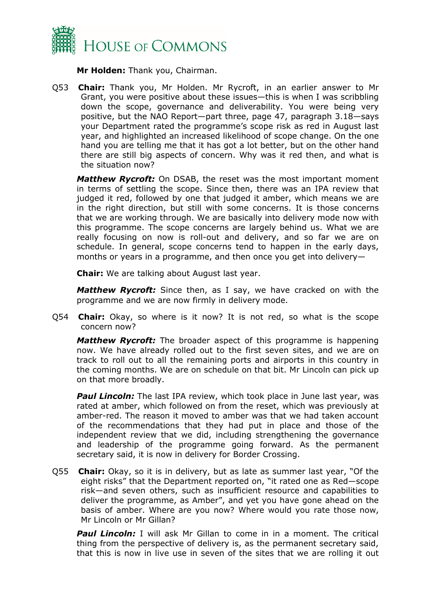

**Mr Holden:** Thank you, Chairman.

Q53 **Chair:** Thank you, Mr Holden. Mr Rycroft, in an earlier answer to Mr Grant, you were positive about these issues—this is when I was scribbling down the scope, governance and deliverability. You were being very positive, but the NAO Report—part three, page 47, paragraph 3.18—says your Department rated the programme's scope risk as red in August last year, and highlighted an increased likelihood of scope change. On the one hand you are telling me that it has got a lot better, but on the other hand there are still big aspects of concern. Why was it red then, and what is the situation now?

*Matthew Rycroft:* On DSAB, the reset was the most important moment in terms of settling the scope. Since then, there was an IPA review that judged it red, followed by one that judged it amber, which means we are in the right direction, but still with some concerns. It is those concerns that we are working through. We are basically into delivery mode now with this programme. The scope concerns are largely behind us. What we are really focusing on now is roll-out and delivery, and so far we are on schedule. In general, scope concerns tend to happen in the early days, months or years in a programme, and then once you get into delivery—

**Chair:** We are talking about August last year.

*Matthew Rycroft:* Since then, as I say, we have cracked on with the programme and we are now firmly in delivery mode.

Q54 **Chair:** Okay, so where is it now? It is not red, so what is the scope concern now?

*Matthew Rycroft:* The broader aspect of this programme is happening now. We have already rolled out to the first seven sites, and we are on track to roll out to all the remaining ports and airports in this country in the coming months. We are on schedule on that bit. Mr Lincoln can pick up on that more broadly.

**Paul Lincoln:** The last IPA review, which took place in June last year, was rated at amber, which followed on from the reset, which was previously at amber-red. The reason it moved to amber was that we had taken account of the recommendations that they had put in place and those of the independent review that we did, including strengthening the governance and leadership of the programme going forward. As the permanent secretary said, it is now in delivery for Border Crossing.

Q55 **Chair:** Okay, so it is in delivery, but as late as summer last year, "Of the eight risks" that the Department reported on, "it rated one as Red—scope risk—and seven others, such as insufficient resource and capabilities to deliver the programme, as Amber", and yet you have gone ahead on the basis of amber. Where are you now? Where would you rate those now, Mr Lincoln or Mr Gillan?

**Paul Lincoln:** I will ask Mr Gillan to come in in a moment. The critical thing from the perspective of delivery is, as the permanent secretary said, that this is now in live use in seven of the sites that we are rolling it out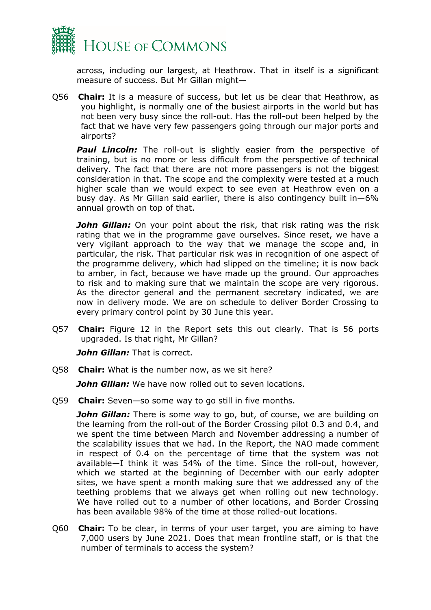

across, including our largest, at Heathrow. That in itself is a significant measure of success. But Mr Gillan might—

Q56 **Chair:** It is a measure of success, but let us be clear that Heathrow, as you highlight, is normally one of the busiest airports in the world but has not been very busy since the roll-out. Has the roll-out been helped by the fact that we have very few passengers going through our major ports and airports?

**Paul Lincoln:** The roll-out is slightly easier from the perspective of training, but is no more or less difficult from the perspective of technical delivery. The fact that there are not more passengers is not the biggest consideration in that. The scope and the complexity were tested at a much higher scale than we would expect to see even at Heathrow even on a busy day. As Mr Gillan said earlier, there is also contingency built in—6% annual growth on top of that.

*John Gillan:* On your point about the risk, that risk rating was the risk rating that we in the programme gave ourselves. Since reset, we have a very vigilant approach to the way that we manage the scope and, in particular, the risk. That particular risk was in recognition of one aspect of the programme delivery, which had slipped on the timeline; it is now back to amber, in fact, because we have made up the ground. Our approaches to risk and to making sure that we maintain the scope are very rigorous. As the director general and the permanent secretary indicated, we are now in delivery mode. We are on schedule to deliver Border Crossing to every primary control point by 30 June this year.

Q57 **Chair:** Figure 12 in the Report sets this out clearly. That is 56 ports upgraded. Is that right, Mr Gillan?

**John Gillan:** That is correct.

Q58 **Chair:** What is the number now, as we sit here?

**John Gillan:** We have now rolled out to seven locations.

Q59 **Chair:** Seven—so some way to go still in five months.

John Gillan: There is some way to go, but, of course, we are building on the learning from the roll-out of the Border Crossing pilot 0.3 and 0.4, and we spent the time between March and November addressing a number of the scalability issues that we had. In the Report, the NAO made comment in respect of 0.4 on the percentage of time that the system was not available—I think it was 54% of the time. Since the roll-out, however, which we started at the beginning of December with our early adopter sites, we have spent a month making sure that we addressed any of the teething problems that we always get when rolling out new technology. We have rolled out to a number of other locations, and Border Crossing has been available 98% of the time at those rolled-out locations.

Q60 **Chair:** To be clear, in terms of your user target, you are aiming to have 7,000 users by June 2021. Does that mean frontline staff, or is that the number of terminals to access the system?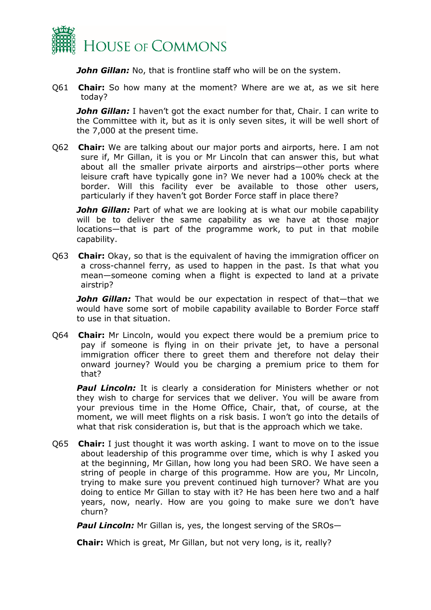

**John Gillan:** No, that is frontline staff who will be on the system.

Q61 **Chair:** So how many at the moment? Where are we at, as we sit here today?

*John Gillan:* I haven't got the exact number for that, Chair. I can write to the Committee with it, but as it is only seven sites, it will be well short of the 7,000 at the present time.

Q62 **Chair:** We are talking about our major ports and airports, here. I am not sure if, Mr Gillan, it is you or Mr Lincoln that can answer this, but what about all the smaller private airports and airstrips—other ports where leisure craft have typically gone in? We never had a 100% check at the border. Will this facility ever be available to those other users, particularly if they haven't got Border Force staff in place there?

*John Gillan:* Part of what we are looking at is what our mobile capability will be to deliver the same capability as we have at those major locations—that is part of the programme work, to put in that mobile capability.

Q63 **Chair:** Okay, so that is the equivalent of having the immigration officer on a cross-channel ferry, as used to happen in the past. Is that what you mean—someone coming when a flight is expected to land at a private airstrip?

**John Gillan:** That would be our expectation in respect of that—that we would have some sort of mobile capability available to Border Force staff to use in that situation.

Q64 **Chair:** Mr Lincoln, would you expect there would be a premium price to pay if someone is flying in on their private jet, to have a personal immigration officer there to greet them and therefore not delay their onward journey? Would you be charging a premium price to them for that?

**Paul Lincoln:** It is clearly a consideration for Ministers whether or not they wish to charge for services that we deliver. You will be aware from your previous time in the Home Office, Chair, that, of course, at the moment, we will meet flights on a risk basis. I won't go into the details of what that risk consideration is, but that is the approach which we take.

Q65 **Chair:** I just thought it was worth asking. I want to move on to the issue about leadership of this programme over time, which is why I asked you at the beginning, Mr Gillan, how long you had been SRO. We have seen a string of people in charge of this programme. How are you, Mr Lincoln, trying to make sure you prevent continued high turnover? What are you doing to entice Mr Gillan to stay with it? He has been here two and a half years, now, nearly. How are you going to make sure we don't have churn?

**Paul Lincoln:** Mr Gillan is, yes, the longest serving of the SROs-

**Chair:** Which is great, Mr Gillan, but not very long, is it, really?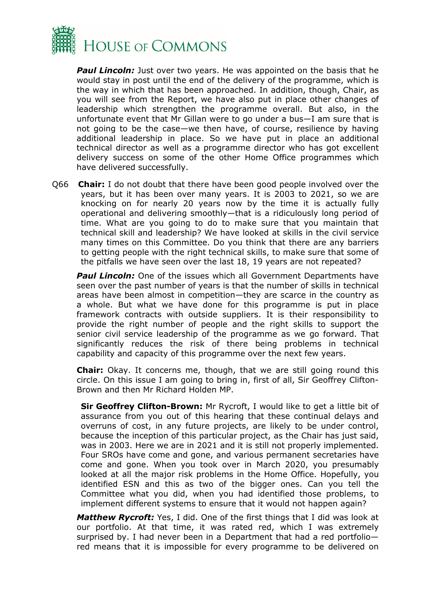

*Paul Lincoln:* Just over two years. He was appointed on the basis that he would stay in post until the end of the delivery of the programme, which is the way in which that has been approached. In addition, though, Chair, as you will see from the Report, we have also put in place other changes of leadership which strengthen the programme overall. But also, in the unfortunate event that Mr Gillan were to go under a bus—I am sure that is not going to be the case—we then have, of course, resilience by having additional leadership in place. So we have put in place an additional technical director as well as a programme director who has got excellent delivery success on some of the other Home Office programmes which have delivered successfully.

Q66 **Chair:** I do not doubt that there have been good people involved over the years, but it has been over many years. It is 2003 to 2021, so we are knocking on for nearly 20 years now by the time it is actually fully operational and delivering smoothly—that is a ridiculously long period of time. What are you going to do to make sure that you maintain that technical skill and leadership? We have looked at skills in the civil service many times on this Committee. Do you think that there are any barriers to getting people with the right technical skills, to make sure that some of the pitfalls we have seen over the last 18, 19 years are not repeated?

**Paul Lincoln:** One of the issues which all Government Departments have seen over the past number of years is that the number of skills in technical areas have been almost in competition—they are scarce in the country as a whole. But what we have done for this programme is put in place framework contracts with outside suppliers. It is their responsibility to provide the right number of people and the right skills to support the senior civil service leadership of the programme as we go forward. That significantly reduces the risk of there being problems in technical capability and capacity of this programme over the next few years.

**Chair:** Okay. It concerns me, though, that we are still going round this circle. On this issue I am going to bring in, first of all, Sir Geoffrey Clifton-Brown and then Mr Richard Holden MP.

**Sir Geoffrey Clifton-Brown:** Mr Rycroft, I would like to get a little bit of assurance from you out of this hearing that these continual delays and overruns of cost, in any future projects, are likely to be under control, because the inception of this particular project, as the Chair has just said, was in 2003. Here we are in 2021 and it is still not properly implemented. Four SROs have come and gone, and various permanent secretaries have come and gone. When you took over in March 2020, you presumably looked at all the major risk problems in the Home Office. Hopefully, you identified ESN and this as two of the bigger ones. Can you tell the Committee what you did, when you had identified those problems, to implement different systems to ensure that it would not happen again?

*Matthew Rycroft:* Yes, I did. One of the first things that I did was look at our portfolio. At that time, it was rated red, which I was extremely surprised by. I had never been in a Department that had a red portfolio red means that it is impossible for every programme to be delivered on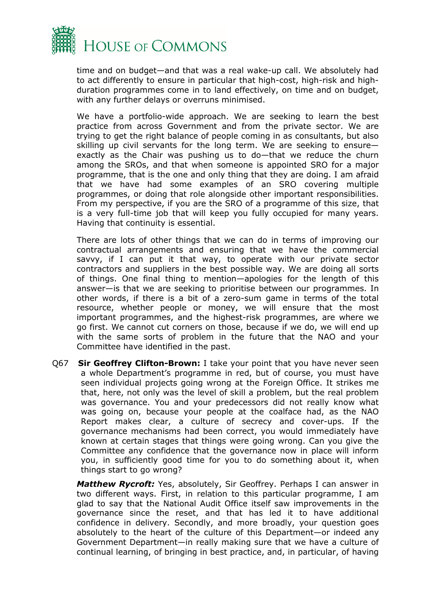

time and on budget—and that was a real wake-up call. We absolutely had to act differently to ensure in particular that high-cost, high-risk and highduration programmes come in to land effectively, on time and on budget, with any further delays or overruns minimised.

We have a portfolio-wide approach. We are seeking to learn the best practice from across Government and from the private sector. We are trying to get the right balance of people coming in as consultants, but also skilling up civil servants for the long term. We are seeking to ensure exactly as the Chair was pushing us to do—that we reduce the churn among the SROs, and that when someone is appointed SRO for a major programme, that is the one and only thing that they are doing. I am afraid that we have had some examples of an SRO covering multiple programmes, or doing that role alongside other important responsibilities. From my perspective, if you are the SRO of a programme of this size, that is a very full-time job that will keep you fully occupied for many years. Having that continuity is essential.

There are lots of other things that we can do in terms of improving our contractual arrangements and ensuring that we have the commercial savvy, if I can put it that way, to operate with our private sector contractors and suppliers in the best possible way. We are doing all sorts of things. One final thing to mention—apologies for the length of this answer—is that we are seeking to prioritise between our programmes. In other words, if there is a bit of a zero-sum game in terms of the total resource, whether people or money, we will ensure that the most important programmes, and the highest-risk programmes, are where we go first. We cannot cut corners on those, because if we do, we will end up with the same sorts of problem in the future that the NAO and your Committee have identified in the past.

Q67 **Sir Geoffrey Clifton-Brown:** I take your point that you have never seen a whole Department's programme in red, but of course, you must have seen individual projects going wrong at the Foreign Office. It strikes me that, here, not only was the level of skill a problem, but the real problem was governance. You and your predecessors did not really know what was going on, because your people at the coalface had, as the NAO Report makes clear, a culture of secrecy and cover-ups. If the governance mechanisms had been correct, you would immediately have known at certain stages that things were going wrong. Can you give the Committee any confidence that the governance now in place will inform you, in sufficiently good time for you to do something about it, when things start to go wrong?

*Matthew Rycroft:* Yes, absolutely, Sir Geoffrey. Perhaps I can answer in two different ways. First, in relation to this particular programme, I am glad to say that the National Audit Office itself saw improvements in the governance since the reset, and that has led it to have additional confidence in delivery. Secondly, and more broadly, your question goes absolutely to the heart of the culture of this Department—or indeed any Government Department—in really making sure that we have a culture of continual learning, of bringing in best practice, and, in particular, of having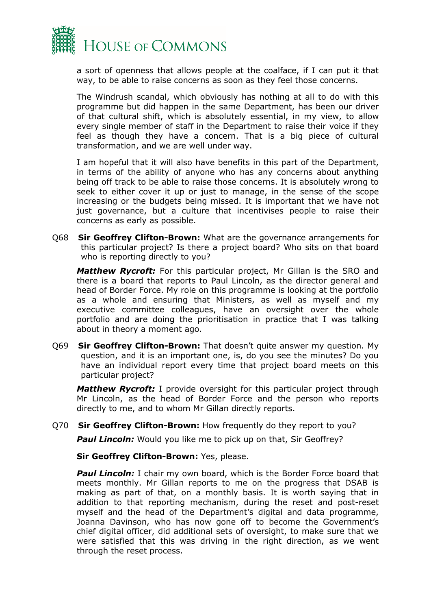

a sort of openness that allows people at the coalface, if I can put it that way, to be able to raise concerns as soon as they feel those concerns.

The Windrush scandal, which obviously has nothing at all to do with this programme but did happen in the same Department, has been our driver of that cultural shift, which is absolutely essential, in my view, to allow every single member of staff in the Department to raise their voice if they feel as though they have a concern. That is a big piece of cultural transformation, and we are well under way.

I am hopeful that it will also have benefits in this part of the Department, in terms of the ability of anyone who has any concerns about anything being off track to be able to raise those concerns. It is absolutely wrong to seek to either cover it up or just to manage, in the sense of the scope increasing or the budgets being missed. It is important that we have not just governance, but a culture that incentivises people to raise their concerns as early as possible.

Q68 **Sir Geoffrey Clifton-Brown:** What are the governance arrangements for this particular project? Is there a project board? Who sits on that board who is reporting directly to you?

*Matthew Rycroft:* For this particular project, Mr Gillan is the SRO and there is a board that reports to Paul Lincoln, as the director general and head of Border Force. My role on this programme is looking at the portfolio as a whole and ensuring that Ministers, as well as myself and my executive committee colleagues, have an oversight over the whole portfolio and are doing the prioritisation in practice that I was talking about in theory a moment ago.

Q69 **Sir Geoffrey Clifton-Brown:** That doesn't quite answer my question. My question, and it is an important one, is, do you see the minutes? Do you have an individual report every time that project board meets on this particular project?

*Matthew Rycroft:* I provide oversight for this particular project through Mr Lincoln, as the head of Border Force and the person who reports directly to me, and to whom Mr Gillan directly reports.

Q70 **Sir Geoffrey Clifton-Brown:** How frequently do they report to you?

**Paul Lincoln:** Would you like me to pick up on that, Sir Geoffrey?

**Sir Geoffrey Clifton-Brown: Yes, please.** 

*Paul Lincoln:* I chair my own board, which is the Border Force board that meets monthly. Mr Gillan reports to me on the progress that DSAB is making as part of that, on a monthly basis. It is worth saying that in addition to that reporting mechanism, during the reset and post-reset myself and the head of the Department's digital and data programme, Joanna Davinson, who has now gone off to become the Government's chief digital officer, did additional sets of oversight, to make sure that we were satisfied that this was driving in the right direction, as we went through the reset process.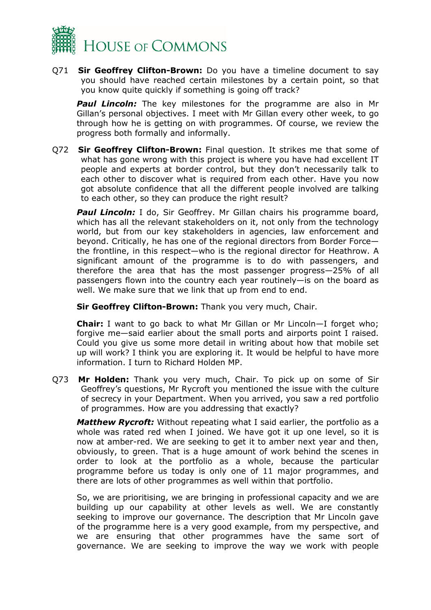

Q71 **Sir Geoffrey Clifton-Brown:** Do you have a timeline document to say you should have reached certain milestones by a certain point, so that you know quite quickly if something is going off track?

*Paul Lincoln:* The key milestones for the programme are also in Mr Gillan's personal objectives. I meet with Mr Gillan every other week, to go through how he is getting on with programmes. Of course, we review the progress both formally and informally.

Q72 **Sir Geoffrey Clifton-Brown:** Final question. It strikes me that some of what has gone wrong with this project is where you have had excellent IT people and experts at border control, but they don't necessarily talk to each other to discover what is required from each other. Have you now got absolute confidence that all the different people involved are talking to each other, so they can produce the right result?

*Paul Lincoln:* I do, Sir Geoffrey. Mr Gillan chairs his programme board, which has all the relevant stakeholders on it, not only from the technology world, but from our key stakeholders in agencies, law enforcement and beyond. Critically, he has one of the regional directors from Border Force the frontline, in this respect—who is the regional director for Heathrow. A significant amount of the programme is to do with passengers, and therefore the area that has the most passenger progress—25% of all passengers flown into the country each year routinely—is on the board as well. We make sure that we link that up from end to end.

**Sir Geoffrey Clifton-Brown:** Thank you very much, Chair.

**Chair:** I want to go back to what Mr Gillan or Mr Lincoln—I forget who; forgive me—said earlier about the small ports and airports point I raised. Could you give us some more detail in writing about how that mobile set up will work? I think you are exploring it. It would be helpful to have more information. I turn to Richard Holden MP.

Q73 **Mr Holden:** Thank you very much, Chair. To pick up on some of Sir Geoffrey's questions, Mr Rycroft you mentioned the issue with the culture of secrecy in your Department. When you arrived, you saw a red portfolio of programmes. How are you addressing that exactly?

*Matthew Rycroft:* Without repeating what I said earlier, the portfolio as a whole was rated red when I joined. We have got it up one level, so it is now at amber-red. We are seeking to get it to amber next year and then, obviously, to green. That is a huge amount of work behind the scenes in order to look at the portfolio as a whole, because the particular programme before us today is only one of 11 major programmes, and there are lots of other programmes as well within that portfolio.

So, we are prioritising, we are bringing in professional capacity and we are building up our capability at other levels as well. We are constantly seeking to improve our governance. The description that Mr Lincoln gave of the programme here is a very good example, from my perspective, and we are ensuring that other programmes have the same sort of governance. We are seeking to improve the way we work with people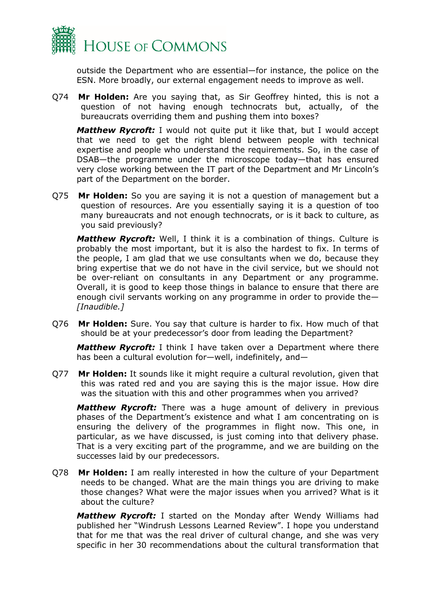

outside the Department who are essential—for instance, the police on the ESN. More broadly, our external engagement needs to improve as well.

Q74 **Mr Holden:** Are you saying that, as Sir Geoffrey hinted, this is not a question of not having enough technocrats but, actually, of the bureaucrats overriding them and pushing them into boxes?

*Matthew Rycroft:* I would not quite put it like that, but I would accept that we need to get the right blend between people with technical expertise and people who understand the requirements. So, in the case of DSAB—the programme under the microscope today—that has ensured very close working between the IT part of the Department and Mr Lincoln's part of the Department on the border.

Q75 **Mr Holden:** So you are saying it is not a question of management but a question of resources. Are you essentially saying it is a question of too many bureaucrats and not enough technocrats, or is it back to culture, as you said previously?

*Matthew Rycroft:* Well, I think it is a combination of things. Culture is probably the most important, but it is also the hardest to fix. In terms of the people, I am glad that we use consultants when we do, because they bring expertise that we do not have in the civil service, but we should not be over-reliant on consultants in any Department or any programme. Overall, it is good to keep those things in balance to ensure that there are enough civil servants working on any programme in order to provide the*— [Inaudible.]*

Q76 **Mr Holden:** Sure. You say that culture is harder to fix. How much of that should be at your predecessor's door from leading the Department?

*Matthew Rycroft:* I think I have taken over a Department where there has been a cultural evolution for—well, indefinitely, and—

Q77 **Mr Holden:** It sounds like it might require a cultural revolution, given that this was rated red and you are saying this is the major issue. How dire was the situation with this and other programmes when you arrived?

*Matthew Rycroft:* There was a huge amount of delivery in previous phases of the Department's existence and what I am concentrating on is ensuring the delivery of the programmes in flight now. This one, in particular, as we have discussed, is just coming into that delivery phase. That is a very exciting part of the programme, and we are building on the successes laid by our predecessors.

Q78 **Mr Holden:** I am really interested in how the culture of your Department needs to be changed. What are the main things you are driving to make those changes? What were the major issues when you arrived? What is it about the culture?

*Matthew Rycroft:* I started on the Monday after Wendy Williams had published her "Windrush Lessons Learned Review". I hope you understand that for me that was the real driver of cultural change, and she was very specific in her 30 recommendations about the cultural transformation that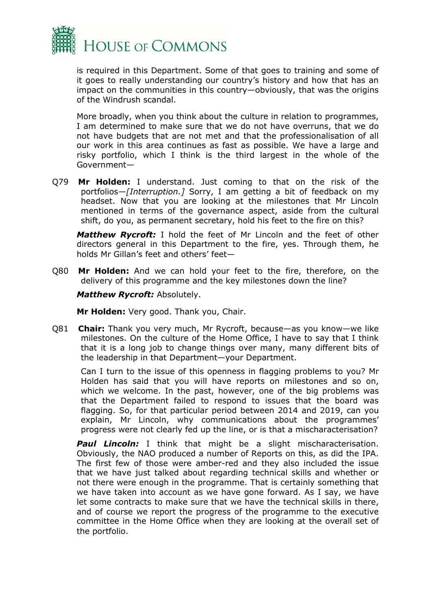

is required in this Department. Some of that goes to training and some of it goes to really understanding our country's history and how that has an impact on the communities in this country—obviously, that was the origins of the Windrush scandal.

More broadly, when you think about the culture in relation to programmes, I am determined to make sure that we do not have overruns, that we do not have budgets that are not met and that the professionalisation of all our work in this area continues as fast as possible. We have a large and risky portfolio, which I think is the third largest in the whole of the Government—

Q79 **Mr Holden:** I understand. Just coming to that on the risk of the portfolios—*[Interruption.]* Sorry, I am getting a bit of feedback on my headset. Now that you are looking at the milestones that Mr Lincoln mentioned in terms of the governance aspect, aside from the cultural shift, do you, as permanent secretary, hold his feet to the fire on this?

*Matthew Rycroft:* I hold the feet of Mr Lincoln and the feet of other directors general in this Department to the fire, yes. Through them, he holds Mr Gillan's feet and others' feet—

Q80 **Mr Holden:** And we can hold your feet to the fire, therefore, on the delivery of this programme and the key milestones down the line?

### *Matthew Rycroft:* Absolutely.

**Mr Holden:** Very good. Thank you, Chair.

Q81 **Chair:** Thank you very much, Mr Rycroft, because—as you know—we like milestones. On the culture of the Home Office, I have to say that I think that it is a long job to change things over many, many different bits of the leadership in that Department—your Department.

Can I turn to the issue of this openness in flagging problems to you? Mr Holden has said that you will have reports on milestones and so on, which we welcome. In the past, however, one of the big problems was that the Department failed to respond to issues that the board was flagging. So, for that particular period between 2014 and 2019, can you explain, Mr Lincoln, why communications about the programmes' progress were not clearly fed up the line, or is that a mischaracterisation?

**Paul Lincoln:** I think that might be a slight mischaracterisation. Obviously, the NAO produced a number of Reports on this, as did the IPA. The first few of those were amber-red and they also included the issue that we have just talked about regarding technical skills and whether or not there were enough in the programme. That is certainly something that we have taken into account as we have gone forward. As I say, we have let some contracts to make sure that we have the technical skills in there, and of course we report the progress of the programme to the executive committee in the Home Office when they are looking at the overall set of the portfolio.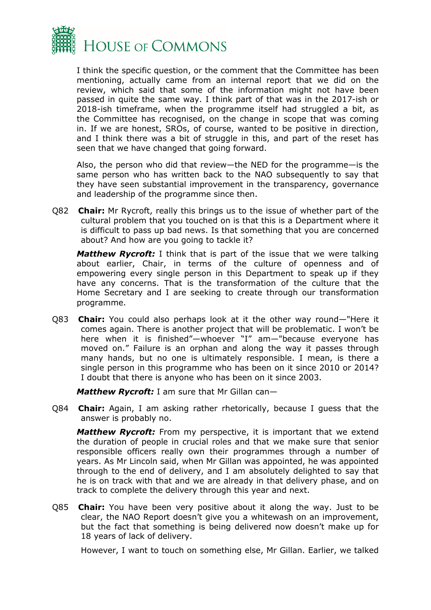

I think the specific question, or the comment that the Committee has been mentioning, actually came from an internal report that we did on the review, which said that some of the information might not have been passed in quite the same way. I think part of that was in the 2017-ish or 2018-ish timeframe, when the programme itself had struggled a bit, as the Committee has recognised, on the change in scope that was coming in. If we are honest, SROs, of course, wanted to be positive in direction, and I think there was a bit of struggle in this, and part of the reset has seen that we have changed that going forward.

Also, the person who did that review—the NED for the programme—is the same person who has written back to the NAO subsequently to say that they have seen substantial improvement in the transparency, governance and leadership of the programme since then.

Q82 **Chair:** Mr Rycroft, really this brings us to the issue of whether part of the cultural problem that you touched on is that this is a Department where it is difficult to pass up bad news. Is that something that you are concerned about? And how are you going to tackle it?

*Matthew Rycroft:* I think that is part of the issue that we were talking about earlier, Chair, in terms of the culture of openness and of empowering every single person in this Department to speak up if they have any concerns. That is the transformation of the culture that the Home Secretary and I are seeking to create through our transformation programme.

Q83 **Chair:** You could also perhaps look at it the other way round—"Here it comes again. There is another project that will be problematic. I won't be here when it is finished"—whoever "I" am—"because everyone has moved on." Failure is an orphan and along the way it passes through many hands, but no one is ultimately responsible. I mean, is there a single person in this programme who has been on it since 2010 or 2014? I doubt that there is anyone who has been on it since 2003.

*Matthew Rycroft:* I am sure that Mr Gillan can—

Q84 **Chair:** Again, I am asking rather rhetorically, because I guess that the answer is probably no.

*Matthew Rycroft:* From my perspective, it is important that we extend the duration of people in crucial roles and that we make sure that senior responsible officers really own their programmes through a number of years. As Mr Lincoln said, when Mr Gillan was appointed, he was appointed through to the end of delivery, and I am absolutely delighted to say that he is on track with that and we are already in that delivery phase, and on track to complete the delivery through this year and next.

Q85 **Chair:** You have been very positive about it along the way. Just to be clear, the NAO Report doesn't give you a whitewash on an improvement, but the fact that something is being delivered now doesn't make up for 18 years of lack of delivery.

However, I want to touch on something else, Mr Gillan. Earlier, we talked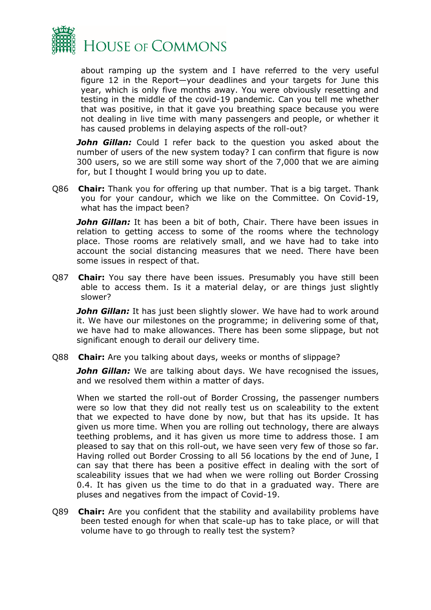

about ramping up the system and I have referred to the very useful figure 12 in the Report—your deadlines and your targets for June this year, which is only five months away. You were obviously resetting and testing in the middle of the covid-19 pandemic. Can you tell me whether that was positive, in that it gave you breathing space because you were not dealing in live time with many passengers and people, or whether it has caused problems in delaying aspects of the roll-out?

**John Gillan:** Could I refer back to the question you asked about the number of users of the new system today? I can confirm that figure is now 300 users, so we are still some way short of the 7,000 that we are aiming for, but I thought I would bring you up to date.

Q86 **Chair:** Thank you for offering up that number. That is a big target. Thank you for your candour, which we like on the Committee. On Covid-19, what has the impact been?

**John Gillan:** It has been a bit of both, Chair. There have been issues in relation to getting access to some of the rooms where the technology place. Those rooms are relatively small, and we have had to take into account the social distancing measures that we need. There have been some issues in respect of that.

Q87 **Chair:** You say there have been issues. Presumably you have still been able to access them. Is it a material delay, or are things just slightly slower?

**John Gillan:** It has just been slightly slower. We have had to work around it. We have our milestones on the programme; in delivering some of that, we have had to make allowances. There has been some slippage, but not significant enough to derail our delivery time.

Q88 **Chair:** Are you talking about days, weeks or months of slippage?

John Gillan: We are talking about days. We have recognised the issues, and we resolved them within a matter of days.

When we started the roll-out of Border Crossing, the passenger numbers were so low that they did not really test us on scaleability to the extent that we expected to have done by now, but that has its upside. It has given us more time. When you are rolling out technology, there are always teething problems, and it has given us more time to address those. I am pleased to say that on this roll-out, we have seen very few of those so far. Having rolled out Border Crossing to all 56 locations by the end of June, I can say that there has been a positive effect in dealing with the sort of scaleability issues that we had when we were rolling out Border Crossing 0.4. It has given us the time to do that in a graduated way. There are pluses and negatives from the impact of Covid-19.

Q89 **Chair:** Are you confident that the stability and availability problems have been tested enough for when that scale-up has to take place, or will that volume have to go through to really test the system?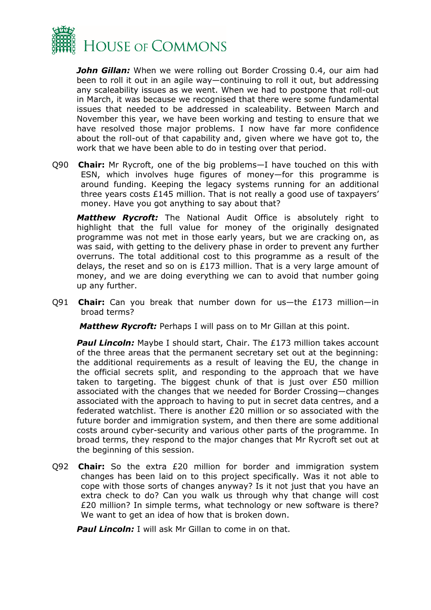

*John Gillan:* When we were rolling out Border Crossing 0.4, our aim had been to roll it out in an agile way—continuing to roll it out, but addressing any scaleability issues as we went. When we had to postpone that roll-out in March, it was because we recognised that there were some fundamental issues that needed to be addressed in scaleability. Between March and November this year, we have been working and testing to ensure that we have resolved those major problems. I now have far more confidence about the roll-out of that capability and, given where we have got to, the work that we have been able to do in testing over that period.

Q90 **Chair:** Mr Rycroft, one of the big problems—I have touched on this with ESN, which involves huge figures of money—for this programme is around funding. Keeping the legacy systems running for an additional three years costs £145 million. That is not really a good use of taxpayers' money. Have you got anything to say about that?

*Matthew Rycroft:* The National Audit Office is absolutely right to highlight that the full value for money of the originally designated programme was not met in those early years, but we are cracking on, as was said, with getting to the delivery phase in order to prevent any further overruns. The total additional cost to this programme as a result of the delays, the reset and so on is  $£173$  million. That is a very large amount of money, and we are doing everything we can to avoid that number going up any further.

Q91 **Chair:** Can you break that number down for us—the £173 million—in broad terms?

*Matthew Rycroft:* Perhaps I will pass on to Mr Gillan at this point.

**Paul Lincoln:** Maybe I should start, Chair. The £173 million takes account of the three areas that the permanent secretary set out at the beginning: the additional requirements as a result of leaving the EU, the change in the official secrets split, and responding to the approach that we have taken to targeting. The biggest chunk of that is just over £50 million associated with the changes that we needed for Border Crossing—changes associated with the approach to having to put in secret data centres, and a federated watchlist. There is another £20 million or so associated with the future border and immigration system, and then there are some additional costs around cyber-security and various other parts of the programme. In broad terms, they respond to the major changes that Mr Rycroft set out at the beginning of this session.

Q92 **Chair:** So the extra £20 million for border and immigration system changes has been laid on to this project specifically. Was it not able to cope with those sorts of changes anyway? Is it not just that you have an extra check to do? Can you walk us through why that change will cost £20 million? In simple terms, what technology or new software is there? We want to get an idea of how that is broken down.

**Paul Lincoln:** I will ask Mr Gillan to come in on that.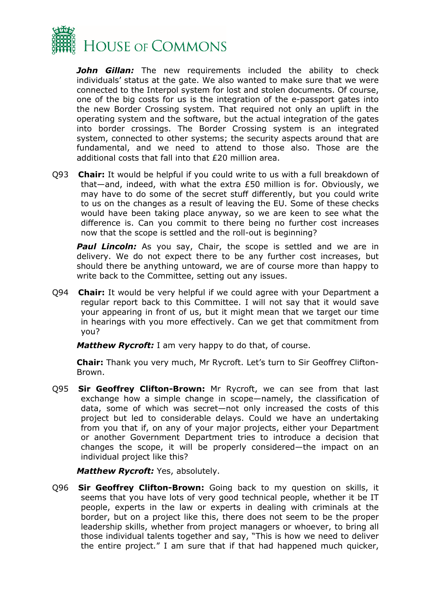

*John Gillan:* The new requirements included the ability to check individuals' status at the gate. We also wanted to make sure that we were connected to the Interpol system for lost and stolen documents. Of course, one of the big costs for us is the integration of the e-passport gates into the new Border Crossing system. That required not only an uplift in the operating system and the software, but the actual integration of the gates into border crossings. The Border Crossing system is an integrated system, connected to other systems; the security aspects around that are fundamental, and we need to attend to those also. Those are the additional costs that fall into that £20 million area.

Q93 **Chair:** It would be helpful if you could write to us with a full breakdown of that—and, indeed, with what the extra £50 million is for. Obviously, we may have to do some of the secret stuff differently, but you could write to us on the changes as a result of leaving the EU. Some of these checks would have been taking place anyway, so we are keen to see what the difference is. Can you commit to there being no further cost increases now that the scope is settled and the roll-out is beginning?

**Paul Lincoln:** As you say, Chair, the scope is settled and we are in delivery. We do not expect there to be any further cost increases, but should there be anything untoward, we are of course more than happy to write back to the Committee, setting out any issues.

Q94 **Chair:** It would be very helpful if we could agree with your Department a regular report back to this Committee. I will not say that it would save your appearing in front of us, but it might mean that we target our time in hearings with you more effectively. Can we get that commitment from you?

*Matthew Rycroft:* I am very happy to do that, of course.

**Chair:** Thank you very much, Mr Rycroft. Let's turn to Sir Geoffrey Clifton-Brown.

Q95 **Sir Geoffrey Clifton-Brown:** Mr Rycroft, we can see from that last exchange how a simple change in scope—namely, the classification of data, some of which was secret—not only increased the costs of this project but led to considerable delays. Could we have an undertaking from you that if, on any of your major projects, either your Department or another Government Department tries to introduce a decision that changes the scope, it will be properly considered—the impact on an individual project like this?

*Matthew Rycroft:* Yes, absolutely.

Q96 **Sir Geoffrey Clifton-Brown:** Going back to my question on skills, it seems that you have lots of very good technical people, whether it be IT people, experts in the law or experts in dealing with criminals at the border, but on a project like this, there does not seem to be the proper leadership skills, whether from project managers or whoever, to bring all those individual talents together and say, "This is how we need to deliver the entire project." I am sure that if that had happened much quicker,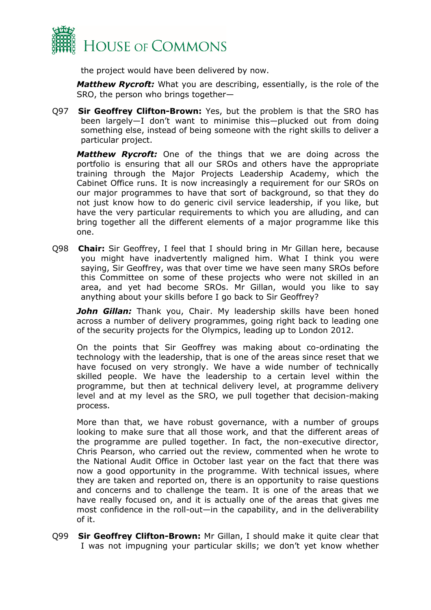

the project would have been delivered by now.

*Matthew Rycroft:* What you are describing, essentially, is the role of the SRO, the person who brings together—

Q97 **Sir Geoffrey Clifton-Brown:** Yes, but the problem is that the SRO has been largely—I don't want to minimise this—plucked out from doing something else, instead of being someone with the right skills to deliver a particular project.

*Matthew Rycroft:* One of the things that we are doing across the portfolio is ensuring that all our SROs and others have the appropriate training through the Major Projects Leadership Academy, which the Cabinet Office runs. It is now increasingly a requirement for our SROs on our major programmes to have that sort of background, so that they do not just know how to do generic civil service leadership, if you like, but have the very particular requirements to which you are alluding, and can bring together all the different elements of a major programme like this one.

Q98 **Chair:** Sir Geoffrey, I feel that I should bring in Mr Gillan here, because you might have inadvertently maligned him. What I think you were saying, Sir Geoffrey, was that over time we have seen many SROs before this Committee on some of these projects who were not skilled in an area, and yet had become SROs. Mr Gillan, would you like to say anything about your skills before I go back to Sir Geoffrey?

**John Gillan:** Thank you, Chair. My leadership skills have been honed across a number of delivery programmes, going right back to leading one of the security projects for the Olympics, leading up to London 2012.

On the points that Sir Geoffrey was making about co-ordinating the technology with the leadership, that is one of the areas since reset that we have focused on very strongly. We have a wide number of technically skilled people. We have the leadership to a certain level within the programme, but then at technical delivery level, at programme delivery level and at my level as the SRO, we pull together that decision-making process.

More than that, we have robust governance, with a number of groups looking to make sure that all those work, and that the different areas of the programme are pulled together. In fact, the non-executive director, Chris Pearson, who carried out the review, commented when he wrote to the National Audit Office in October last year on the fact that there was now a good opportunity in the programme. With technical issues, where they are taken and reported on, there is an opportunity to raise questions and concerns and to challenge the team. It is one of the areas that we have really focused on, and it is actually one of the areas that gives me most confidence in the roll-out—in the capability, and in the deliverability of it.

Q99 **Sir Geoffrey Clifton-Brown:** Mr Gillan, I should make it quite clear that I was not impugning your particular skills; we don't yet know whether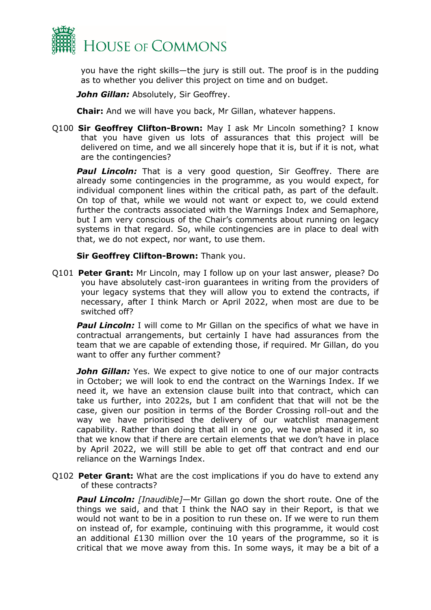

you have the right skills—the jury is still out. The proof is in the pudding as to whether you deliver this project on time and on budget.

**John Gillan:** Absolutely, Sir Geoffrey.

**Chair:** And we will have you back, Mr Gillan, whatever happens.

Q100 **Sir Geoffrey Clifton-Brown:** May I ask Mr Lincoln something? I know that you have given us lots of assurances that this project will be delivered on time, and we all sincerely hope that it is, but if it is not, what are the contingencies?

**Paul Lincoln:** That is a very good question, Sir Geoffrey. There are already some contingencies in the programme, as you would expect, for individual component lines within the critical path, as part of the default. On top of that, while we would not want or expect to, we could extend further the contracts associated with the Warnings Index and Semaphore, but I am very conscious of the Chair's comments about running on legacy systems in that regard. So, while contingencies are in place to deal with that, we do not expect, nor want, to use them.

#### **Sir Geoffrey Clifton-Brown:** Thank you.

Q101 **Peter Grant:** Mr Lincoln, may I follow up on your last answer, please? Do you have absolutely cast-iron guarantees in writing from the providers of your legacy systems that they will allow you to extend the contracts, if necessary, after I think March or April 2022, when most are due to be switched off?

**Paul Lincoln:** I will come to Mr Gillan on the specifics of what we have in contractual arrangements, but certainly I have had assurances from the team that we are capable of extending those, if required. Mr Gillan, do you want to offer any further comment?

*John Gillan:* Yes. We expect to give notice to one of our major contracts in October; we will look to end the contract on the Warnings Index. If we need it, we have an extension clause built into that contract, which can take us further, into 2022s, but I am confident that that will not be the case, given our position in terms of the Border Crossing roll-out and the way we have prioritised the delivery of our watchlist management capability. Rather than doing that all in one go, we have phased it in, so that we know that if there are certain elements that we don't have in place by April 2022, we will still be able to get off that contract and end our reliance on the Warnings Index.

Q102 **Peter Grant:** What are the cost implications if you do have to extend any of these contracts?

**Paul Lincoln:** [Inaudible]—Mr Gillan go down the short route. One of the things we said, and that I think the NAO say in their Report, is that we would not want to be in a position to run these on. If we were to run them on instead of, for example, continuing with this programme, it would cost an additional £130 million over the 10 years of the programme, so it is critical that we move away from this. In some ways, it may be a bit of a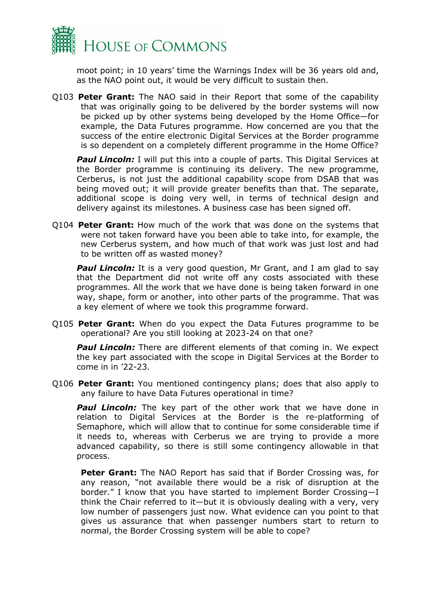

moot point; in 10 years' time the Warnings Index will be 36 years old and, as the NAO point out, it would be very difficult to sustain then.

Q103 **Peter Grant:** The NAO said in their Report that some of the capability that was originally going to be delivered by the border systems will now be picked up by other systems being developed by the Home Office—for example, the Data Futures programme. How concerned are you that the success of the entire electronic Digital Services at the Border programme is so dependent on a completely different programme in the Home Office?

**Paul Lincoln:** I will put this into a couple of parts. This Digital Services at the Border programme is continuing its delivery. The new programme, Cerberus, is not just the additional capability scope from DSAB that was being moved out; it will provide greater benefits than that. The separate, additional scope is doing very well, in terms of technical design and delivery against its milestones. A business case has been signed off.

Q104 **Peter Grant:** How much of the work that was done on the systems that were not taken forward have you been able to take into, for example, the new Cerberus system, and how much of that work was just lost and had to be written off as wasted money?

**Paul Lincoln:** It is a very good question, Mr Grant, and I am glad to say that the Department did not write off any costs associated with these programmes. All the work that we have done is being taken forward in one way, shape, form or another, into other parts of the programme. That was a key element of where we took this programme forward.

Q105 **Peter Grant:** When do you expect the Data Futures programme to be operational? Are you still looking at 2023-24 on that one?

*Paul Lincoln:* There are different elements of that coming in. We expect the key part associated with the scope in Digital Services at the Border to come in in '22-23.

Q106 **Peter Grant:** You mentioned contingency plans; does that also apply to any failure to have Data Futures operational in time?

**Paul Lincoln:** The key part of the other work that we have done in relation to Digital Services at the Border is the re-platforming of Semaphore, which will allow that to continue for some considerable time if it needs to, whereas with Cerberus we are trying to provide a more advanced capability, so there is still some contingency allowable in that process.

**Peter Grant:** The NAO Report has said that if Border Crossing was, for any reason, "not available there would be a risk of disruption at the border." I know that you have started to implement Border Crossing—I think the Chair referred to it—but it is obviously dealing with a very, very low number of passengers just now. What evidence can you point to that gives us assurance that when passenger numbers start to return to normal, the Border Crossing system will be able to cope?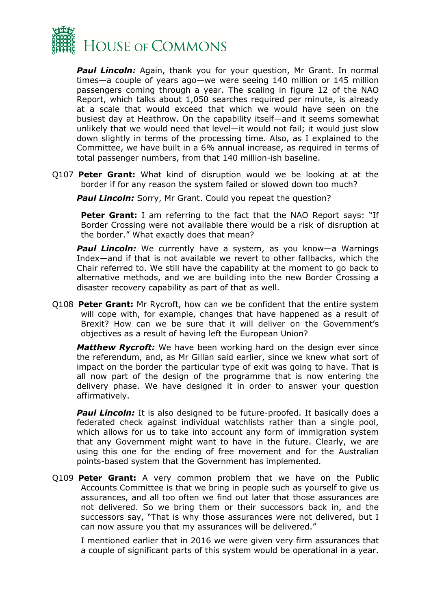

**Paul Lincoln:** Again, thank you for your question, Mr Grant. In normal times—a couple of years ago—we were seeing 140 million or 145 million passengers coming through a year. The scaling in figure 12 of the NAO Report, which talks about 1,050 searches required per minute, is already at a scale that would exceed that which we would have seen on the busiest day at Heathrow. On the capability itself—and it seems somewhat unlikely that we would need that level—it would not fail; it would just slow down slightly in terms of the processing time. Also, as I explained to the Committee, we have built in a 6% annual increase, as required in terms of total passenger numbers, from that 140 million-ish baseline.

Q107 **Peter Grant:** What kind of disruption would we be looking at at the border if for any reason the system failed or slowed down too much?

**Paul Lincoln:** Sorry, Mr Grant. Could you repeat the question?

**Peter Grant:** I am referring to the fact that the NAO Report says: "If Border Crossing were not available there would be a risk of disruption at the border." What exactly does that mean?

**Paul Lincoln:** We currently have a system, as you know—a Warnings Index—and if that is not available we revert to other fallbacks, which the Chair referred to. We still have the capability at the moment to go back to alternative methods, and we are building into the new Border Crossing a disaster recovery capability as part of that as well.

Q108 **Peter Grant:** Mr Rycroft, how can we be confident that the entire system will cope with, for example, changes that have happened as a result of Brexit? How can we be sure that it will deliver on the Government's objectives as a result of having left the European Union?

*Matthew Rycroft:* We have been working hard on the design ever since the referendum, and, as Mr Gillan said earlier, since we knew what sort of impact on the border the particular type of exit was going to have. That is all now part of the design of the programme that is now entering the delivery phase. We have designed it in order to answer your question affirmatively.

**Paul Lincoln:** It is also designed to be future-proofed. It basically does a federated check against individual watchlists rather than a single pool, which allows for us to take into account any form of immigration system that any Government might want to have in the future. Clearly, we are using this one for the ending of free movement and for the Australian points-based system that the Government has implemented.

Q109 **Peter Grant:** A very common problem that we have on the Public Accounts Committee is that we bring in people such as yourself to give us assurances, and all too often we find out later that those assurances are not delivered. So we bring them or their successors back in, and the successors say, "That is why those assurances were not delivered, but I can now assure you that my assurances will be delivered."

I mentioned earlier that in 2016 we were given very firm assurances that a couple of significant parts of this system would be operational in a year.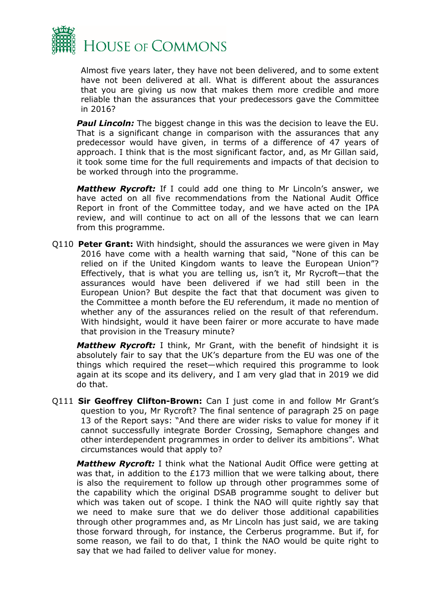

Almost five years later, they have not been delivered, and to some extent have not been delivered at all. What is different about the assurances that you are giving us now that makes them more credible and more reliable than the assurances that your predecessors gave the Committee in 2016?

*Paul Lincoln:* The biggest change in this was the decision to leave the EU. That is a significant change in comparison with the assurances that any predecessor would have given, in terms of a difference of 47 years of approach. I think that is the most significant factor, and, as Mr Gillan said, it took some time for the full requirements and impacts of that decision to be worked through into the programme.

*Matthew Rycroft:* If I could add one thing to Mr Lincoln's answer, we have acted on all five recommendations from the National Audit Office Report in front of the Committee today, and we have acted on the IPA review, and will continue to act on all of the lessons that we can learn from this programme.

Q110 **Peter Grant:** With hindsight, should the assurances we were given in May 2016 have come with a health warning that said, "None of this can be relied on if the United Kingdom wants to leave the European Union"? Effectively, that is what you are telling us, isn't it, Mr Rycroft—that the assurances would have been delivered if we had still been in the European Union? But despite the fact that that document was given to the Committee a month before the EU referendum, it made no mention of whether any of the assurances relied on the result of that referendum. With hindsight, would it have been fairer or more accurate to have made that provision in the Treasury minute?

*Matthew Rycroft:* I think, Mr Grant, with the benefit of hindsight it is absolutely fair to say that the UK's departure from the EU was one of the things which required the reset—which required this programme to look again at its scope and its delivery, and I am very glad that in 2019 we did do that.

Q111 **Sir Geoffrey Clifton-Brown:** Can I just come in and follow Mr Grant's question to you, Mr Rycroft? The final sentence of paragraph 25 on page 13 of the Report says: "And there are wider risks to value for money if it cannot successfully integrate Border Crossing, Semaphore changes and other interdependent programmes in order to deliver its ambitions". What circumstances would that apply to?

*Matthew Rycroft:* I think what the National Audit Office were getting at was that, in addition to the £173 million that we were talking about, there is also the requirement to follow up through other programmes some of the capability which the original DSAB programme sought to deliver but which was taken out of scope. I think the NAO will quite rightly say that we need to make sure that we do deliver those additional capabilities through other programmes and, as Mr Lincoln has just said, we are taking those forward through, for instance, the Cerberus programme. But if, for some reason, we fail to do that, I think the NAO would be quite right to say that we had failed to deliver value for money.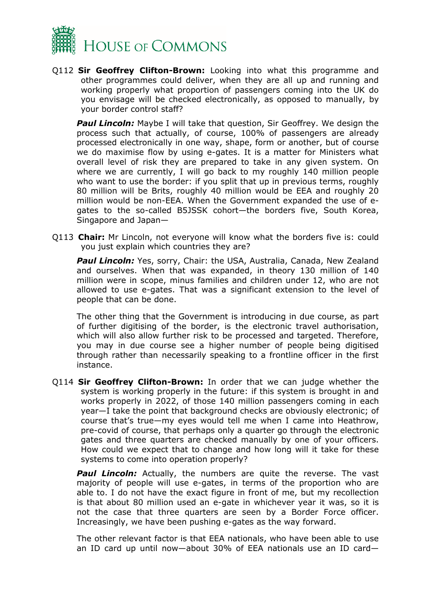

Q112 **Sir Geoffrey Clifton-Brown:** Looking into what this programme and other programmes could deliver, when they are all up and running and working properly what proportion of passengers coming into the UK do you envisage will be checked electronically, as opposed to manually, by your border control staff?

*Paul Lincoln:* Maybe I will take that question, Sir Geoffrey. We design the process such that actually, of course, 100% of passengers are already processed electronically in one way, shape, form or another, but of course we do maximise flow by using e-gates. It is a matter for Ministers what overall level of risk they are prepared to take in any given system. On where we are currently, I will go back to my roughly 140 million people who want to use the border: if you split that up in previous terms, roughly 80 million will be Brits, roughly 40 million would be EEA and roughly 20 million would be non-EEA. When the Government expanded the use of egates to the so-called B5JSSK cohort—the borders five, South Korea, Singapore and Japan—

Q113 **Chair:** Mr Lincoln, not everyone will know what the borders five is: could you just explain which countries they are?

**Paul Lincoln:** Yes, sorry, Chair: the USA, Australia, Canada, New Zealand and ourselves. When that was expanded, in theory 130 million of 140 million were in scope, minus families and children under 12, who are not allowed to use e-gates. That was a significant extension to the level of people that can be done.

The other thing that the Government is introducing in due course, as part of further digitising of the border, is the electronic travel authorisation, which will also allow further risk to be processed and targeted. Therefore, you may in due course see a higher number of people being digitised through rather than necessarily speaking to a frontline officer in the first instance.

Q114 **Sir Geoffrey Clifton-Brown:** In order that we can judge whether the system is working properly in the future: if this system is brought in and works properly in 2022, of those 140 million passengers coming in each year—I take the point that background checks are obviously electronic; of course that's true—my eyes would tell me when I came into Heathrow, pre-covid of course, that perhaps only a quarter go through the electronic gates and three quarters are checked manually by one of your officers. How could we expect that to change and how long will it take for these systems to come into operation properly?

**Paul Lincoln:** Actually, the numbers are quite the reverse. The vast majority of people will use e-gates, in terms of the proportion who are able to. I do not have the exact figure in front of me, but my recollection is that about 80 million used an e-gate in whichever year it was, so it is not the case that three quarters are seen by a Border Force officer. Increasingly, we have been pushing e-gates as the way forward.

The other relevant factor is that EEA nationals, who have been able to use an ID card up until now—about 30% of EEA nationals use an ID card—